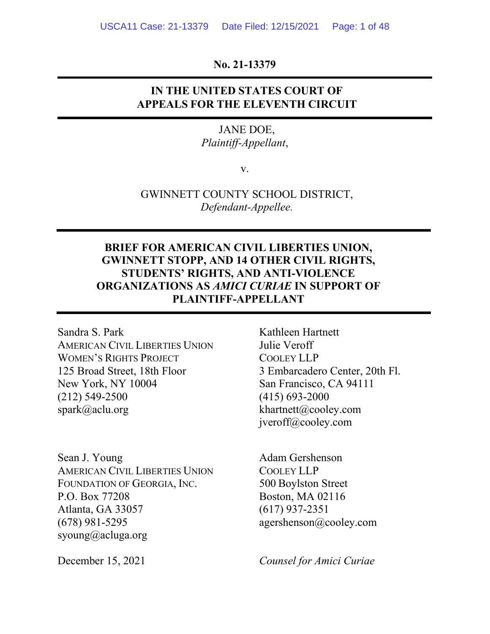### **No. 21-13379**

## **IN THE UNITED STATES COURT OF APPEALS FOR THE ELEVENTH CIRCUIT**

### JANE DOE, *Plaintiff-Appellant*,

v.

GWINNETT COUNTY SCHOOL DISTRICT, *Defendant-Appellee.*

## **BRIEF FOR AMERICAN CIVIL LIBERTIES UNION, GWINNETT STOPP, AND 14 OTHER CIVIL RIGHTS, STUDENTS' RIGHTS, AND ANTI-VIOLENCE ORGANIZATIONS AS** *AMICI CURIAE* **IN SUPPORT OF PLAINTIFF-APPELLANT**

Sandra S. Park Kathleen Hartnett AMERICAN CIVIL LIBERTIES UNION Julie Veroff WOMEN'S RIGHTS PROJECT COOLEY LLP 125 Broad Street, 18th Floor 3 Embarcadero Center, 20th Fl. New York, NY 10004 San Francisco, CA 94111 (212) 549-2500 (415) 693-2000 spark@aclu.org khartnett@cooley.com

Sean J. Young Adam Gershenson AMERICAN CIVIL LIBERTIES UNION COOLEY LLP FOUNDATION OF GEORGIA, INC. 500 Boylston Street P.O. Box 77208 Boston, MA 02116 Atlanta, GA 33057 (617) 937-2351 (678) 981-5295 agershenson@cooley.com syoung@acluga.org

jveroff@cooley.com

December 15, 2021 *Counsel for Amici Curiae*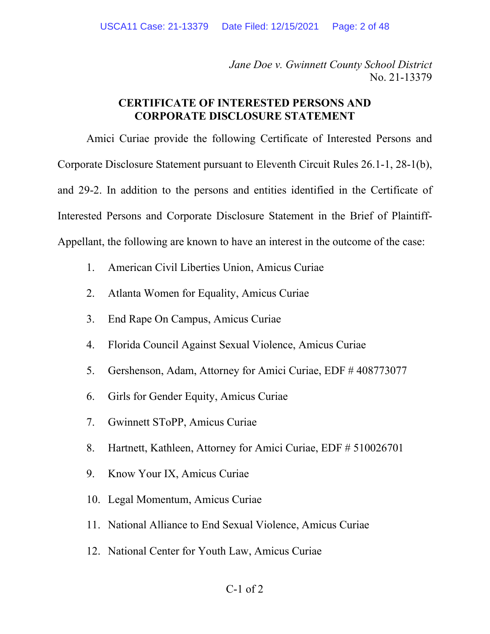*Jane Doe v. Gwinnett County School District* No. 21-13379

### **CERTIFICATE OF INTERESTED PERSONS AND CORPORATE DISCLOSURE STATEMENT**

Amici Curiae provide the following Certificate of Interested Persons and Corporate Disclosure Statement pursuant to Eleventh Circuit Rules 26.1-1, 28-1(b), and 29-2. In addition to the persons and entities identified in the Certificate of Interested Persons and Corporate Disclosure Statement in the Brief of Plaintiff-Appellant, the following are known to have an interest in the outcome of the case:

- 1. American Civil Liberties Union, Amicus Curiae
- 2. Atlanta Women for Equality, Amicus Curiae
- 3. End Rape On Campus, Amicus Curiae
- 4. Florida Council Against Sexual Violence, Amicus Curiae
- 5. Gershenson, Adam, Attorney for Amici Curiae, EDF # 408773077
- 6. Girls for Gender Equity, Amicus Curiae
- 7. Gwinnett SToPP, Amicus Curiae
- 8. Hartnett, Kathleen, Attorney for Amici Curiae, EDF # 510026701
- 9. Know Your IX, Amicus Curiae
- 10. Legal Momentum, Amicus Curiae
- 11. National Alliance to End Sexual Violence, Amicus Curiae
- 12. National Center for Youth Law, Amicus Curiae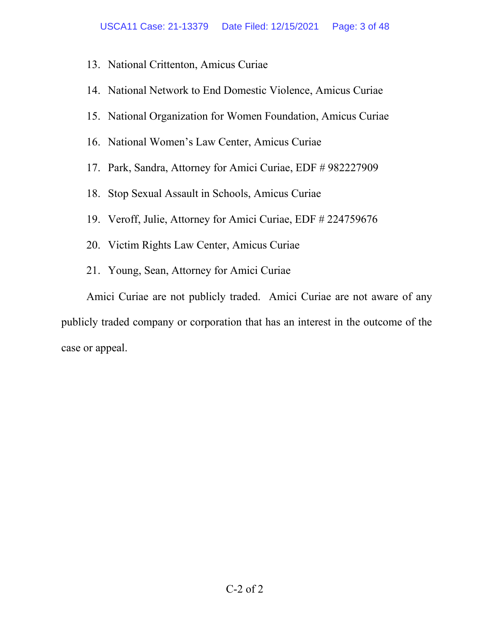- 13. National Crittenton, Amicus Curiae
- 14. National Network to End Domestic Violence, Amicus Curiae
- 15. National Organization for Women Foundation, Amicus Curiae
- 16. National Women's Law Center, Amicus Curiae
- 17. Park, Sandra, Attorney for Amici Curiae, EDF # 982227909
- 18. Stop Sexual Assault in Schools, Amicus Curiae
- 19. Veroff, Julie, Attorney for Amici Curiae, EDF # 224759676
- 20. Victim Rights Law Center, Amicus Curiae
- 21. Young, Sean, Attorney for Amici Curiae

Amici Curiae are not publicly traded. Amici Curiae are not aware of any publicly traded company or corporation that has an interest in the outcome of the case or appeal.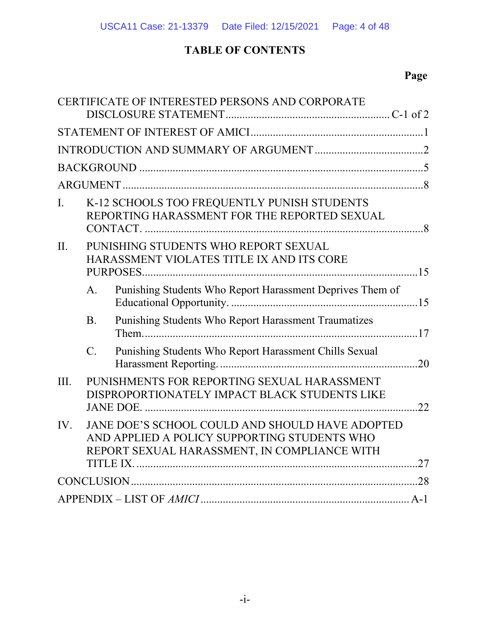# **TABLE OF CONTENTS**

# **Page**

|         |                  | CERTIFICATE OF INTERESTED PERSONS AND CORPORATE                                                                                                 |     |
|---------|------------------|-------------------------------------------------------------------------------------------------------------------------------------------------|-----|
|         |                  |                                                                                                                                                 |     |
|         |                  |                                                                                                                                                 |     |
|         |                  |                                                                                                                                                 |     |
|         |                  |                                                                                                                                                 |     |
| I.      |                  | K-12 SCHOOLS TOO FREQUENTLY PUNISH STUDENTS<br>REPORTING HARASSMENT FOR THE REPORTED SEXUAL                                                     |     |
| $\Pi$ . |                  | PUNISHING STUDENTS WHO REPORT SEXUAL<br>HARASSMENT VIOLATES TITLE IX AND ITS CORE                                                               |     |
|         | $\mathbf{A}$ .   | Punishing Students Who Report Harassment Deprives Them of                                                                                       |     |
|         | <b>B.</b>        | Punishing Students Who Report Harassment Traumatizes                                                                                            |     |
|         | $\overline{C}$ . | Punishing Students Who Report Harassment Chills Sexual                                                                                          |     |
| III.    |                  | PUNISHMENTS FOR REPORTING SEXUAL HARASSMENT<br>DISPROPORTIONATELY IMPACT BLACK STUDENTS LIKE                                                    | .22 |
| IV.     |                  | JANE DOE'S SCHOOL COULD AND SHOULD HAVE ADOPTED<br>AND APPLIED A POLICY SUPPORTING STUDENTS WHO<br>REPORT SEXUAL HARASSMENT, IN COMPLIANCE WITH |     |
|         |                  |                                                                                                                                                 |     |
|         |                  |                                                                                                                                                 |     |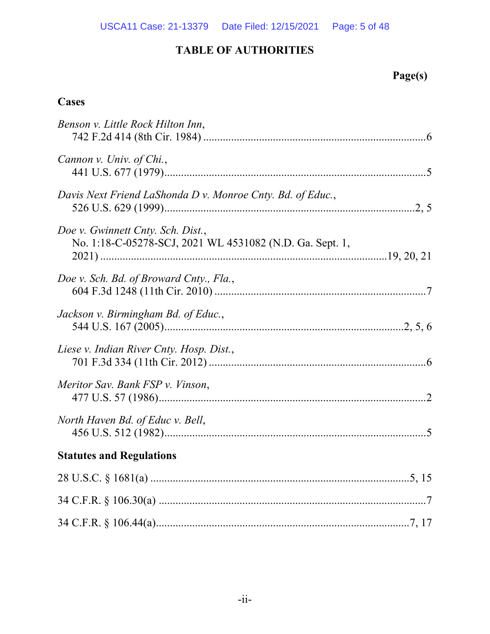# **Page(s)**

## **Cases**

| Benson v. Little Rock Hilton Inn,                                                             |
|-----------------------------------------------------------------------------------------------|
| Cannon v. Univ. of Chi.,                                                                      |
| Davis Next Friend LaShonda D v. Monroe Cnty. Bd. of Educ.,                                    |
| Doe v. Gwinnett Cnty. Sch. Dist.,<br>No. 1:18-C-05278-SCJ, 2021 WL 4531082 (N.D. Ga. Sept. 1, |
| Doe v. Sch. Bd. of Broward Cnty., Fla.,                                                       |
| Jackson v. Birmingham Bd. of Educ.,                                                           |
| Liese v. Indian River Cnty. Hosp. Dist.,                                                      |
| Meritor Sav. Bank FSP v. Vinson,                                                              |
| North Haven Bd. of Educ v. Bell,                                                              |
| <b>Statutes and Regulations</b>                                                               |
|                                                                                               |
|                                                                                               |
|                                                                                               |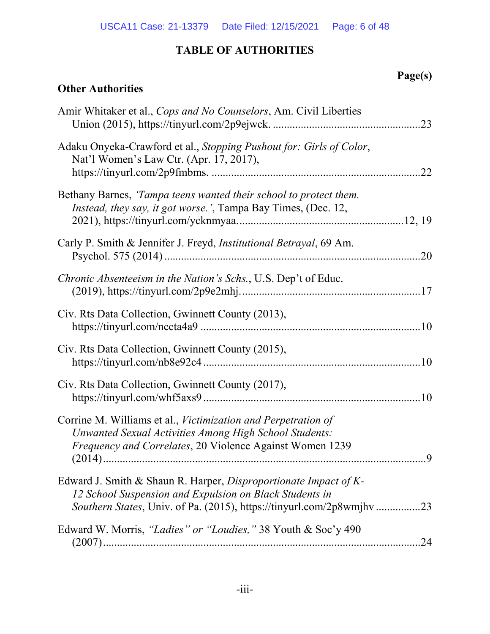|                                                                                                                                                                                                         | Page(s) |
|---------------------------------------------------------------------------------------------------------------------------------------------------------------------------------------------------------|---------|
| <b>Other Authorities</b>                                                                                                                                                                                |         |
| Amir Whitaker et al., Cops and No Counselors, Am. Civil Liberties                                                                                                                                       | .23     |
| Adaku Onyeka-Crawford et al., Stopping Pushout for: Girls of Color,<br>Nat'l Women's Law Ctr. (Apr. 17, 2017),                                                                                          | .22     |
| Bethany Barnes, 'Tampa teens wanted their school to protect them.<br><i>Instead, they say, it got worse.', Tampa Bay Times, (Dec. 12, Instead, they say, it got worse.', Tampa Bay Times, (Dec. 12,</i> |         |
| Carly P. Smith & Jennifer J. Freyd, <i>Institutional Betrayal</i> , 69 Am.                                                                                                                              |         |
| Chronic Absenteeism in the Nation's Schs., U.S. Dep't of Educ.                                                                                                                                          |         |
| Civ. Rts Data Collection, Gwinnett County (2013),                                                                                                                                                       |         |
| Civ. Rts Data Collection, Gwinnett County (2015),                                                                                                                                                       |         |
| Civ. Rts Data Collection, Gwinnett County (2017),                                                                                                                                                       |         |
| Corrine M. Williams et al., Victimization and Perpetration of<br><b>Unwanted Sexual Activities Among High School Students:</b><br>Frequency and Correlates, 20 Violence Against Women 1239              |         |
| Edward J. Smith & Shaun R. Harper, Disproportionate Impact of K-<br>12 School Suspension and Expulsion on Black Students in<br>Southern States, Univ. of Pa. (2015), https://tinyurl.com/2p8wmjhv23     |         |
| Edward W. Morris, "Ladies" or "Loudies," 38 Youth & Soc'y 490                                                                                                                                           |         |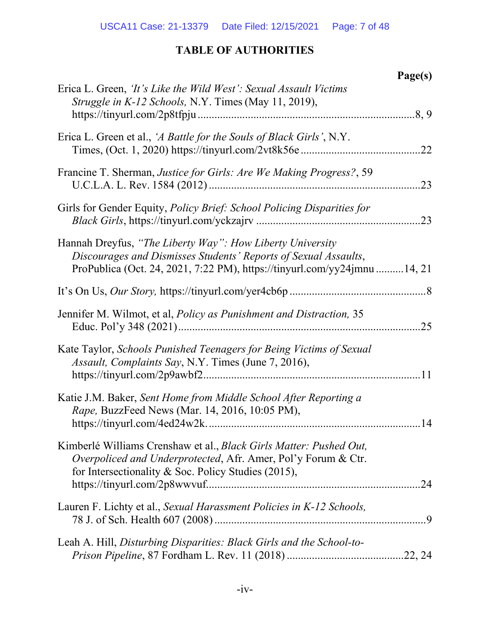|                                                                                                                                                                                                         | Page(s) |
|---------------------------------------------------------------------------------------------------------------------------------------------------------------------------------------------------------|---------|
| Erica L. Green, 'It's Like the Wild West': Sexual Assault Victims<br>Struggle in K-12 Schools, N.Y. Times (May 11, 2019),                                                                               | .8, 9   |
| Erica L. Green et al., 'A Battle for the Souls of Black Girls', N.Y.                                                                                                                                    |         |
| Francine T. Sherman, Justice for Girls: Are We Making Progress?, 59                                                                                                                                     | .23     |
| Girls for Gender Equity, <i>Policy Brief: School Policing Disparities for</i>                                                                                                                           |         |
| Hannah Dreyfus, "The Liberty Way": How Liberty University<br>Discourages and Dismisses Students' Reports of Sexual Assaults,<br>ProPublica (Oct. 24, 2021, 7:22 PM), https://tinyurl.com/yy24jmnu14, 21 |         |
|                                                                                                                                                                                                         |         |
| Jennifer M. Wilmot, et al, Policy as Punishment and Distraction, 35                                                                                                                                     | .25     |
| Kate Taylor, Schools Punished Teenagers for Being Victims of Sexual<br>Assault, Complaints Say, N.Y. Times (June 7, 2016),                                                                              |         |
| Katie J.M. Baker, Sent Home from Middle School After Reporting a<br>Rape, BuzzFeed News (Mar. 14, 2016, 10:05 PM),                                                                                      |         |
| Kimberlé Williams Crenshaw et al., Black Girls Matter: Pushed Out,<br>Overpoliced and Underprotected, Afr. Amer, Pol'y Forum & Ctr.<br>for Intersectionality & Soc. Policy Studies $(2015)$ ,           | .24     |
| Lauren F. Lichty et al., Sexual Harassment Policies in K-12 Schools,                                                                                                                                    |         |
| Leah A. Hill, Disturbing Disparities: Black Girls and the School-to-                                                                                                                                    |         |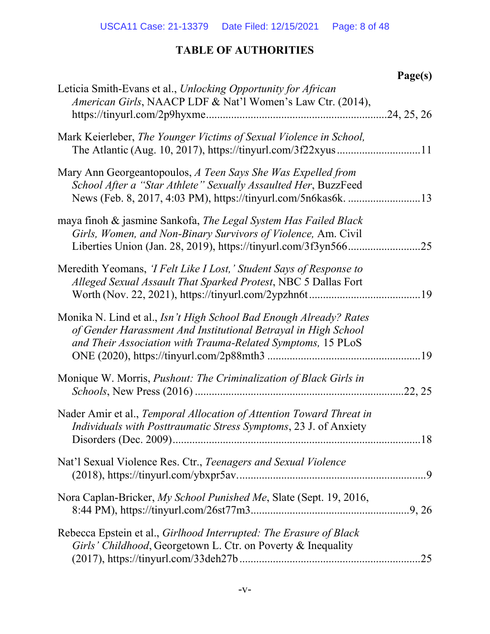|                                                                                                                                                                                                     | Page(s)     |
|-----------------------------------------------------------------------------------------------------------------------------------------------------------------------------------------------------|-------------|
| Leticia Smith-Evans et al., Unlocking Opportunity for African<br>American Girls, NAACP LDF & Nat'l Women's Law Ctr. (2014),                                                                         | .24, 25, 26 |
| Mark Keierleber, The Younger Victims of Sexual Violence in School,                                                                                                                                  |             |
| Mary Ann Georgeantopoulos, A Teen Says She Was Expelled from<br>School After a "Star Athlete" Sexually Assaulted Her, BuzzFeed                                                                      | .13         |
| maya finoh & jasmine Sankofa, The Legal System Has Failed Black<br>Girls, Women, and Non-Binary Survivors of Violence, Am. Civil<br>Liberties Union (Jan. 28, 2019), https://tinyurl.com/3f3yn566   | 25          |
| Meredith Yeomans, <i>TFelt Like I Lost</i> , <i>Student Says of Response to</i><br>Alleged Sexual Assault That Sparked Protest, NBC 5 Dallas Fort                                                   | .19         |
| Monika N. Lind et al., Isn't High School Bad Enough Already? Rates<br>of Gender Harassment And Institutional Betrayal in High School<br>and Their Association with Trauma-Related Symptoms, 15 PLoS |             |
| Monique W. Morris, <i>Pushout: The Criminalization of Black Girls in</i>                                                                                                                            | .22, 25     |
| Nader Amir et al., Temporal Allocation of Attention Toward Threat in<br>Individuals with Posttraumatic Stress Symptoms, 23 J. of Anxiety                                                            |             |
| Nat'l Sexual Violence Res. Ctr., Teenagers and Sexual Violence                                                                                                                                      |             |
| Nora Caplan-Bricker, My School Punished Me, Slate (Sept. 19, 2016,                                                                                                                                  |             |
| Rebecca Epstein et al., Girlhood Interrupted: The Erasure of Black<br>Girls' Childhood, Georgetown L. Ctr. on Poverty & Inequality                                                                  | .25         |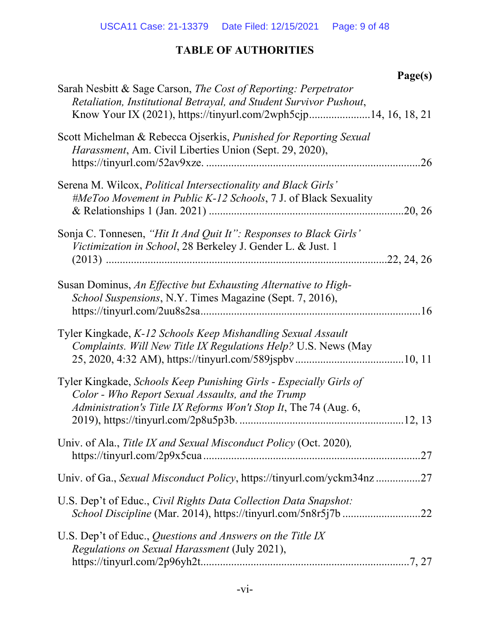|                                                                                                                                                                                                          | Page(s) |
|----------------------------------------------------------------------------------------------------------------------------------------------------------------------------------------------------------|---------|
| Sarah Nesbitt & Sage Carson, The Cost of Reporting: Perpetrator<br>Retaliation, Institutional Betrayal, and Student Survivor Pushout,<br>Know Your IX (2021), https://tinyurl.com/2wph5cjp14, 16, 18, 21 |         |
| Scott Michelman & Rebecca Ojserkis, Punished for Reporting Sexual<br>Harassment, Am. Civil Liberties Union (Sept. 29, 2020),                                                                             |         |
| Serena M. Wilcox, Political Intersectionality and Black Girls'<br>#MeToo Movement in Public K-12 Schools, 7 J. of Black Sexuality                                                                        |         |
| Sonja C. Tonnesen, "Hit It And Quit It": Responses to Black Girls'<br>Victimization in School, 28 Berkeley J. Gender L. & Just. 1                                                                        |         |
| Susan Dominus, An Effective but Exhausting Alternative to High-<br>School Suspensions, N.Y. Times Magazine (Sept. 7, 2016),                                                                              |         |
| Tyler Kingkade, K-12 Schools Keep Mishandling Sexual Assault<br>Complaints. Will New Title IX Regulations Help? U.S. News (May                                                                           |         |
| Tyler Kingkade, Schools Keep Punishing Girls - Especially Girls of<br>Color - Who Report Sexual Assaults, and the Trump<br>Administration's Title IX Reforms Won't Stop It, The 74 (Aug. 6,              |         |
| Univ. of Ala., Title IX and Sexual Misconduct Policy (Oct. 2020),                                                                                                                                        |         |
| Univ. of Ga., Sexual Misconduct Policy, https://tinyurl.com/yckm34nz27                                                                                                                                   |         |
| U.S. Dep't of Educ., Civil Rights Data Collection Data Snapshot:                                                                                                                                         |         |
| U.S. Dep't of Educ., Questions and Answers on the Title IX<br>Regulations on Sexual Harassment (July 2021),                                                                                              |         |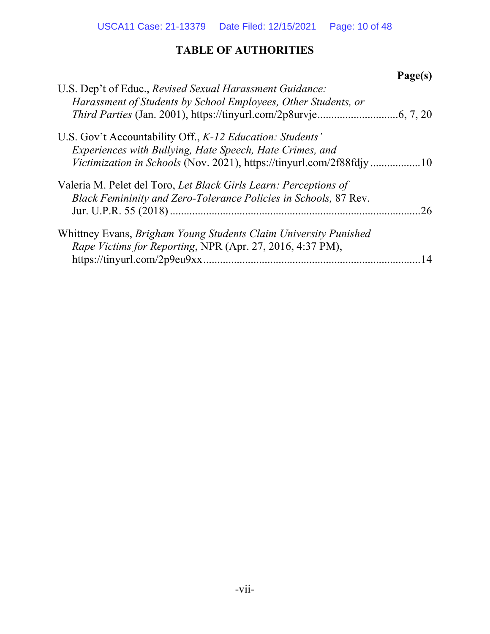| U.S. Dep't of Educ., Revised Sexual Harassment Guidance:             |
|----------------------------------------------------------------------|
|                                                                      |
| Harassment of Students by School Employees, Other Students, or       |
|                                                                      |
| U.S. Gov't Accountability Off., K-12 Education: Students'            |
| Experiences with Bullying, Hate Speech, Hate Crimes, and             |
| Victimization in Schools (Nov. 2021), https://tinyurl.com/2f88fdjy10 |
| Valeria M. Pelet del Toro, Let Black Girls Learn: Perceptions of     |
| Black Femininity and Zero-Tolerance Policies in Schools, 87 Rev.     |
| 26                                                                   |
| Whittney Evans, Brigham Young Students Claim University Punished     |
| Rape Victims for Reporting, NPR (Apr. 27, 2016, 4:37 PM),            |
| https://tinyurl.com/2p9eu9xx<br>14                                   |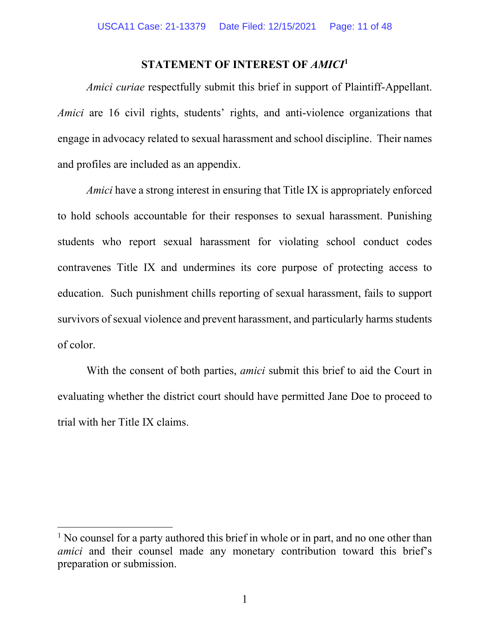### **STATEMENT OF INTEREST OF** *AMICI***<sup>1</sup>**

*Amici curiae* respectfully submit this brief in support of Plaintiff-Appellant. *Amici* are 16 civil rights, students' rights, and anti-violence organizations that engage in advocacy related to sexual harassment and school discipline. Their names and profiles are included as an appendix.

*Amici* have a strong interest in ensuring that Title IX is appropriately enforced to hold schools accountable for their responses to sexual harassment. Punishing students who report sexual harassment for violating school conduct codes contravenes Title IX and undermines its core purpose of protecting access to education. Such punishment chills reporting of sexual harassment, fails to support survivors of sexual violence and prevent harassment, and particularly harms students of color.

With the consent of both parties, *amici* submit this brief to aid the Court in evaluating whether the district court should have permitted Jane Doe to proceed to trial with her Title IX claims.

 $<sup>1</sup>$  No counsel for a party authored this brief in whole or in part, and no one other than</sup> *amici* and their counsel made any monetary contribution toward this brief's preparation or submission.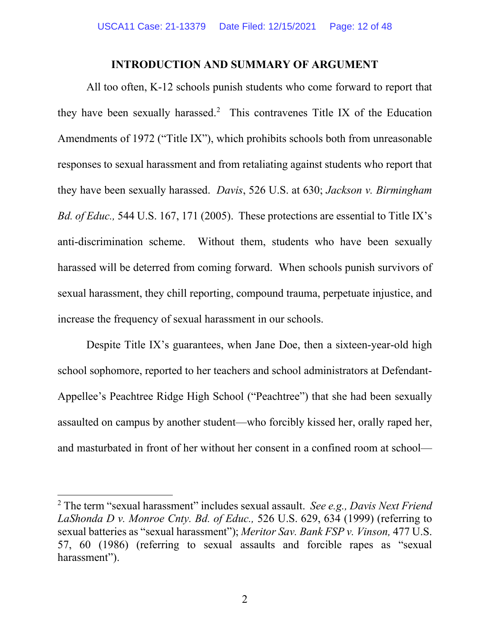### **INTRODUCTION AND SUMMARY OF ARGUMENT**

All too often, K-12 schools punish students who come forward to report that they have been sexually harassed.<sup>2</sup> This contravenes Title IX of the Education Amendments of 1972 ("Title IX"), which prohibits schools both from unreasonable responses to sexual harassment and from retaliating against students who report that they have been sexually harassed. *Davis*, 526 U.S. at 630; *Jackson v. Birmingham Bd. of Educ.,* 544 U.S. 167, 171 (2005). These protections are essential to Title IX's anti-discrimination scheme. Without them, students who have been sexually harassed will be deterred from coming forward. When schools punish survivors of sexual harassment, they chill reporting, compound trauma, perpetuate injustice, and increase the frequency of sexual harassment in our schools.

Despite Title IX's guarantees, when Jane Doe, then a sixteen-year-old high school sophomore, reported to her teachers and school administrators at Defendant-Appellee's Peachtree Ridge High School ("Peachtree") that she had been sexually assaulted on campus by another student—who forcibly kissed her, orally raped her, and masturbated in front of her without her consent in a confined room at school—

<sup>2</sup> The term "sexual harassment" includes sexual assault. *See e.g., Davis Next Friend LaShonda D v. Monroe Cnty. Bd. of Educ.,* 526 U.S. 629, 634 (1999) (referring to sexual batteries as "sexual harassment"); *Meritor Sav. Bank FSP v. Vinson,* 477 U.S. 57, 60 (1986) (referring to sexual assaults and forcible rapes as "sexual harassment").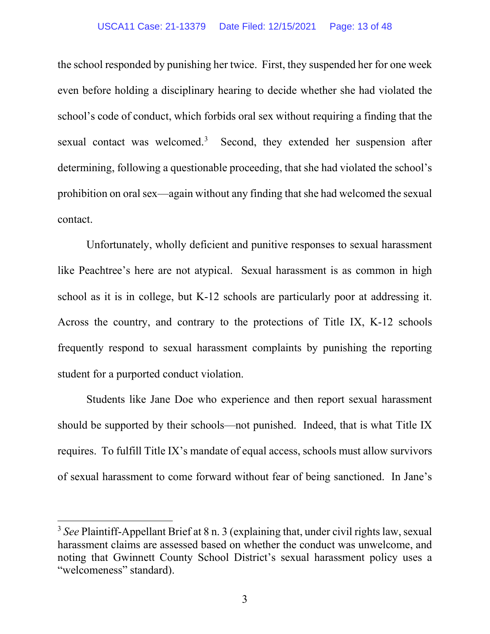#### USCA11 Case: 21-13379 Date Filed: 12/15/2021 Page: 13 of 48

the school responded by punishing her twice. First, they suspended her for one week even before holding a disciplinary hearing to decide whether she had violated the school's code of conduct, which forbids oral sex without requiring a finding that the sexual contact was welcomed.<sup>3</sup> Second, they extended her suspension after determining, following a questionable proceeding, that she had violated the school's prohibition on oral sex—again without any finding that she had welcomed the sexual contact.

Unfortunately, wholly deficient and punitive responses to sexual harassment like Peachtree's here are not atypical. Sexual harassment is as common in high school as it is in college, but K-12 schools are particularly poor at addressing it. Across the country, and contrary to the protections of Title IX, K-12 schools frequently respond to sexual harassment complaints by punishing the reporting student for a purported conduct violation.

Students like Jane Doe who experience and then report sexual harassment should be supported by their schools—not punished. Indeed, that is what Title IX requires. To fulfill Title IX's mandate of equal access, schools must allow survivors of sexual harassment to come forward without fear of being sanctioned. In Jane's

<sup>3</sup> *See* Plaintiff-Appellant Brief at 8 n. 3 (explaining that, under civil rights law, sexual harassment claims are assessed based on whether the conduct was unwelcome, and noting that Gwinnett County School District's sexual harassment policy uses a "welcomeness" standard).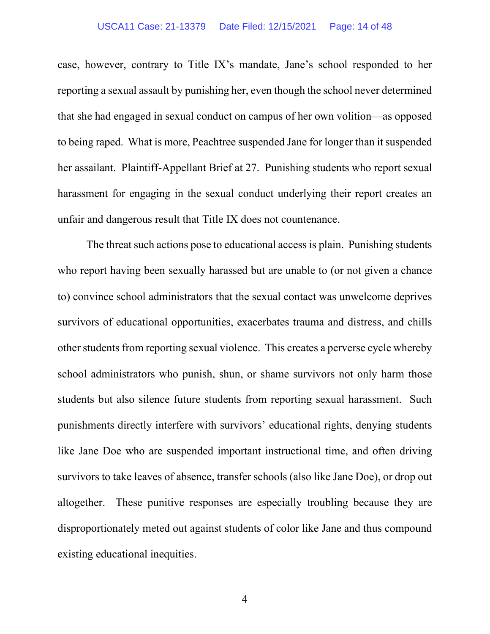#### USCA11 Case: 21-13379 Date Filed: 12/15/2021 Page: 14 of 48

case, however, contrary to Title IX's mandate, Jane's school responded to her reporting a sexual assault by punishing her, even though the school never determined that she had engaged in sexual conduct on campus of her own volition—as opposed to being raped. What is more, Peachtree suspended Jane for longer than it suspended her assailant. Plaintiff-Appellant Brief at 27. Punishing students who report sexual harassment for engaging in the sexual conduct underlying their report creates an unfair and dangerous result that Title IX does not countenance.

The threat such actions pose to educational access is plain. Punishing students who report having been sexually harassed but are unable to (or not given a chance to) convince school administrators that the sexual contact was unwelcome deprives survivors of educational opportunities, exacerbates trauma and distress, and chills other students from reporting sexual violence. This creates a perverse cycle whereby school administrators who punish, shun, or shame survivors not only harm those students but also silence future students from reporting sexual harassment. Such punishments directly interfere with survivors' educational rights, denying students like Jane Doe who are suspended important instructional time, and often driving survivors to take leaves of absence, transfer schools (also like Jane Doe), or drop out altogether. These punitive responses are especially troubling because they are disproportionately meted out against students of color like Jane and thus compound existing educational inequities.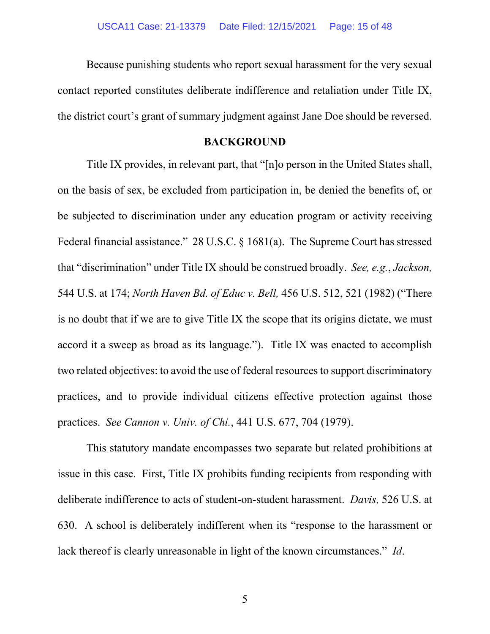Because punishing students who report sexual harassment for the very sexual contact reported constitutes deliberate indifference and retaliation under Title IX, the district court's grant of summary judgment against Jane Doe should be reversed.

### **BACKGROUND**

Title IX provides, in relevant part, that "[n]o person in the United States shall, on the basis of sex, be excluded from participation in, be denied the benefits of, or be subjected to discrimination under any education program or activity receiving Federal financial assistance." 28 U.S.C. § 1681(a). The Supreme Court has stressed that "discrimination" under Title IX should be construed broadly. *See, e.g.*, *Jackson,*  544 U.S. at 174; *North Haven Bd. of Educ v. Bell,* 456 U.S. 512, 521 (1982) ("There is no doubt that if we are to give Title IX the scope that its origins dictate, we must accord it a sweep as broad as its language."). Title IX was enacted to accomplish two related objectives: to avoid the use of federal resources to support discriminatory practices, and to provide individual citizens effective protection against those practices. *See Cannon v. Univ. of Chi.*, 441 U.S. 677, 704 (1979).

This statutory mandate encompasses two separate but related prohibitions at issue in this case. First, Title IX prohibits funding recipients from responding with deliberate indifference to acts of student-on-student harassment. *Davis,* 526 U.S. at 630. A school is deliberately indifferent when its "response to the harassment or lack thereof is clearly unreasonable in light of the known circumstances." *Id*.

5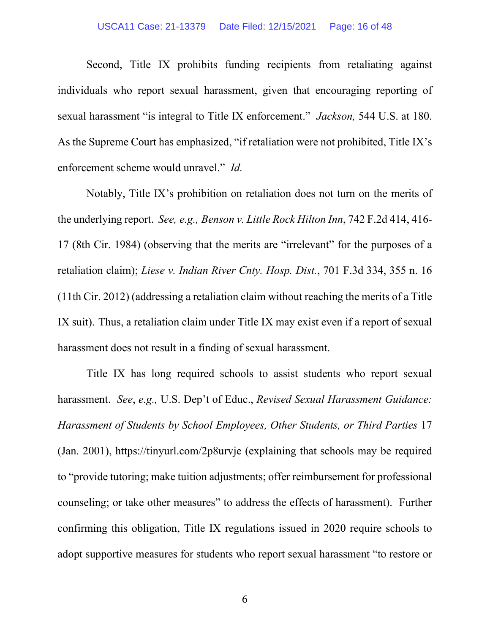#### USCA11 Case: 21-13379 Date Filed: 12/15/2021 Page: 16 of 48

Second, Title IX prohibits funding recipients from retaliating against individuals who report sexual harassment, given that encouraging reporting of sexual harassment "is integral to Title IX enforcement." *Jackson,* 544 U.S. at 180. As the Supreme Court has emphasized, "if retaliation were not prohibited, Title IX's enforcement scheme would unravel." *Id.*

Notably, Title IX's prohibition on retaliation does not turn on the merits of the underlying report. *See, e.g., Benson v. Little Rock Hilton Inn*, 742 F.2d 414, 416- 17 (8th Cir. 1984) (observing that the merits are "irrelevant" for the purposes of a retaliation claim); *Liese v. Indian River Cnty. Hosp. Dist.*, 701 F.3d 334, 355 n. 16 (11th Cir. 2012) (addressing a retaliation claim without reaching the merits of a Title IX suit). Thus, a retaliation claim under Title IX may exist even if a report of sexual harassment does not result in a finding of sexual harassment.

Title IX has long required schools to assist students who report sexual harassment. *See*, *e.g.,* U.S. Dep't of Educ., *Revised Sexual Harassment Guidance: Harassment of Students by School Employees, Other Students, or Third Parties* 17 (Jan. 2001), https://tinyurl.com/2p8urvje (explaining that schools may be required to "provide tutoring; make tuition adjustments; offer reimbursement for professional counseling; or take other measures" to address the effects of harassment). Further confirming this obligation, Title IX regulations issued in 2020 require schools to adopt supportive measures for students who report sexual harassment "to restore or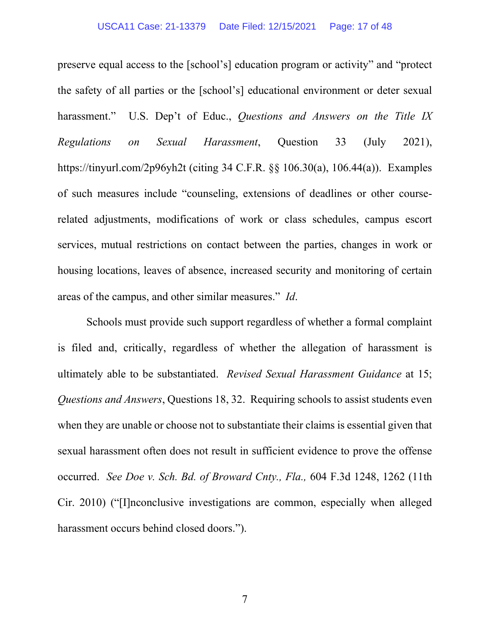preserve equal access to the [school's] education program or activity" and "protect the safety of all parties or the [school's] educational environment or deter sexual harassment." U.S. Dep't of Educ., *Questions and Answers on the Title IX Regulations on Sexual Harassment*, Question 33 (July 2021), https://tinyurl.com/2p96yh2t (citing 34 C.F.R. §§ 106.30(a), 106.44(a)). Examples of such measures include "counseling, extensions of deadlines or other courserelated adjustments, modifications of work or class schedules, campus escort services, mutual restrictions on contact between the parties, changes in work or housing locations, leaves of absence, increased security and monitoring of certain areas of the campus, and other similar measures." *Id*.

Schools must provide such support regardless of whether a formal complaint is filed and, critically, regardless of whether the allegation of harassment is ultimately able to be substantiated. *Revised Sexual Harassment Guidance* at 15; *Questions and Answers*, Questions 18, 32. Requiring schools to assist students even when they are unable or choose not to substantiate their claims is essential given that sexual harassment often does not result in sufficient evidence to prove the offense occurred. *See Doe v. Sch. Bd. of Broward Cnty., Fla.,* 604 F.3d 1248, 1262 (11th Cir. 2010) ("[I]nconclusive investigations are common, especially when alleged harassment occurs behind closed doors.").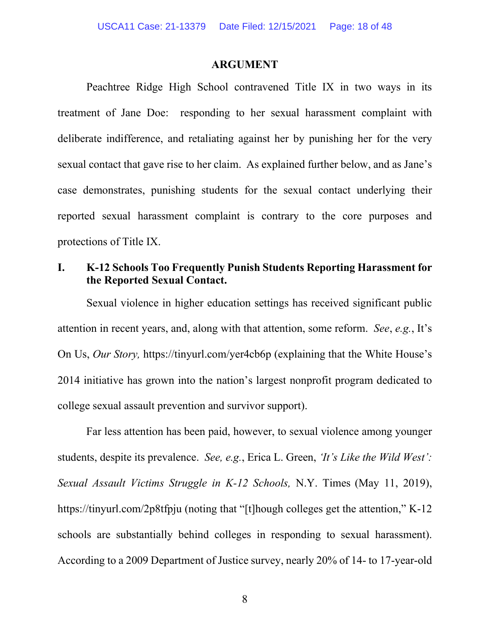#### **ARGUMENT**

Peachtree Ridge High School contravened Title IX in two ways in its treatment of Jane Doe: responding to her sexual harassment complaint with deliberate indifference, and retaliating against her by punishing her for the very sexual contact that gave rise to her claim. As explained further below, and as Jane's case demonstrates, punishing students for the sexual contact underlying their reported sexual harassment complaint is contrary to the core purposes and protections of Title IX.

## **I. K-12 Schools Too Frequently Punish Students Reporting Harassment for the Reported Sexual Contact.**

Sexual violence in higher education settings has received significant public attention in recent years, and, along with that attention, some reform. *See*, *e.g.*, It's On Us, *Our Story,* https://tinyurl.com/yer4cb6p (explaining that the White House's 2014 initiative has grown into the nation's largest nonprofit program dedicated to college sexual assault prevention and survivor support).

Far less attention has been paid, however, to sexual violence among younger students, despite its prevalence. *See, e.g.*, Erica L. Green, *'It's Like the Wild West': Sexual Assault Victims Struggle in K-12 Schools,* N.Y. Times (May 11, 2019), https://tinyurl.com/2p8tfpju (noting that "[t]hough colleges get the attention," K-12 schools are substantially behind colleges in responding to sexual harassment). According to a 2009 Department of Justice survey, nearly 20% of 14- to 17-year-old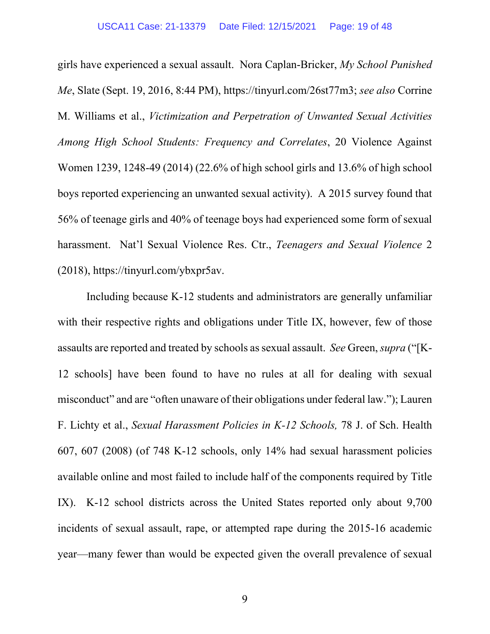girls have experienced a sexual assault. Nora Caplan-Bricker, *My School Punished Me*, Slate (Sept. 19, 2016, 8:44 PM), https://tinyurl.com/26st77m3; *see also* Corrine M. Williams et al., *Victimization and Perpetration of Unwanted Sexual Activities Among High School Students: Frequency and Correlates*, 20 Violence Against Women 1239, 1248-49 (2014) (22.6% of high school girls and 13.6% of high school boys reported experiencing an unwanted sexual activity). A 2015 survey found that 56% of teenage girls and 40% of teenage boys had experienced some form of sexual harassment. Nat'l Sexual Violence Res. Ctr., *Teenagers and Sexual Violence* 2 (2018), https://tinyurl.com/ybxpr5av.

Including because K-12 students and administrators are generally unfamiliar with their respective rights and obligations under Title IX, however, few of those assaults are reported and treated by schools as sexual assault. *See* Green, *supra* ("[K-12 schools] have been found to have no rules at all for dealing with sexual misconduct" and are "often unaware of their obligations under federal law."); Lauren F. Lichty et al., *Sexual Harassment Policies in K-12 Schools,* 78 J. of Sch. Health 607, 607 (2008) (of 748 K-12 schools, only 14% had sexual harassment policies available online and most failed to include half of the components required by Title IX). K-12 school districts across the United States reported only about 9,700 incidents of sexual assault, rape, or attempted rape during the 2015-16 academic year—many fewer than would be expected given the overall prevalence of sexual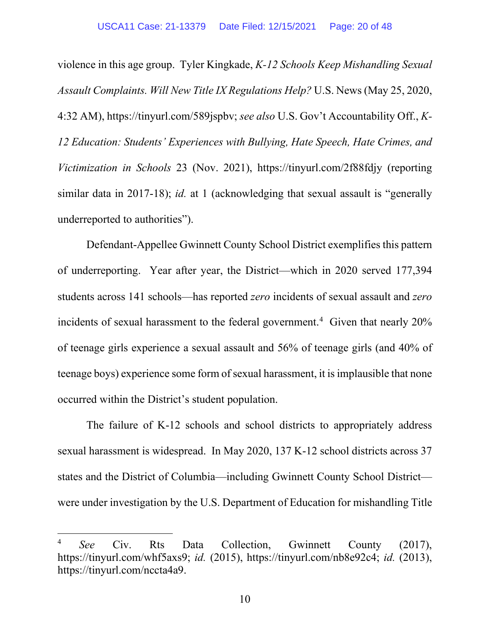violence in this age group. Tyler Kingkade, *K-12 Schools Keep Mishandling Sexual Assault Complaints. Will New Title IX Regulations Help?* U.S. News (May 25, 2020, 4:32 AM), https://tinyurl.com/589jspbv; *see also* U.S. Gov't Accountability Off., *K-12 Education: Students' Experiences with Bullying, Hate Speech, Hate Crimes, and Victimization in Schools* 23 (Nov. 2021), https://tinyurl.com/2f88fdjy (reporting similar data in 2017-18); *id.* at 1 (acknowledging that sexual assault is "generally underreported to authorities").

Defendant-Appellee Gwinnett County School District exemplifies this pattern of underreporting. Year after year, the District—which in 2020 served 177,394 students across 141 schools—has reported *zero* incidents of sexual assault and *zero* incidents of sexual harassment to the federal government.<sup>4</sup> Given that nearly  $20\%$ of teenage girls experience a sexual assault and 56% of teenage girls (and 40% of teenage boys) experience some form of sexual harassment, it is implausible that none occurred within the District's student population.

The failure of K-12 schools and school districts to appropriately address sexual harassment is widespread. In May 2020, 137 K-12 school districts across 37 states and the District of Columbia—including Gwinnett County School District were under investigation by the U.S. Department of Education for mishandling Title

<sup>4</sup> *See* Civ. Rts Data Collection, Gwinnett County (2017), https://tinyurl.com/whf5axs9; *id.* (2015), https://tinyurl.com/nb8e92c4; *id.* (2013), https://tinyurl.com/nccta4a9.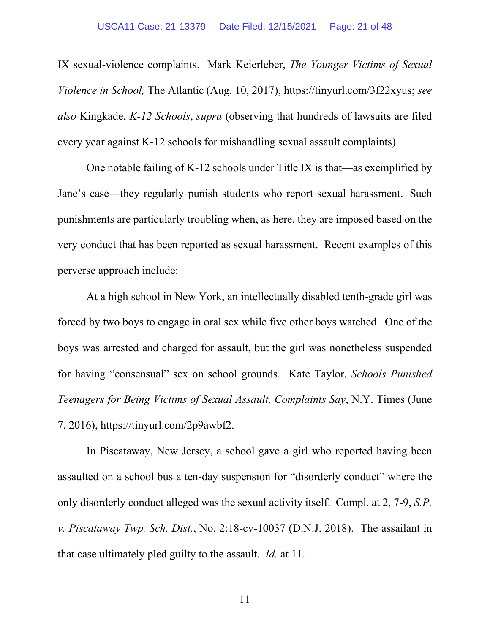IX sexual-violence complaints. Mark Keierleber, *The Younger Victims of Sexual Violence in School,* The Atlantic (Aug. 10, 2017), https://tinyurl.com/3f22xyus; *see also* Kingkade, *K-12 Schools*, *supra* (observing that hundreds of lawsuits are filed every year against K-12 schools for mishandling sexual assault complaints).

One notable failing of K-12 schools under Title IX is that—as exemplified by Jane's case—they regularly punish students who report sexual harassment. Such punishments are particularly troubling when, as here, they are imposed based on the very conduct that has been reported as sexual harassment. Recent examples of this perverse approach include:

At a high school in New York, an intellectually disabled tenth-grade girl was forced by two boys to engage in oral sex while five other boys watched. One of the boys was arrested and charged for assault, but the girl was nonetheless suspended for having "consensual" sex on school grounds. Kate Taylor, *Schools Punished Teenagers for Being Victims of Sexual Assault, Complaints Say*, N.Y. Times (June 7, 2016), https://tinyurl.com/2p9awbf2.

In Piscataway, New Jersey, a school gave a girl who reported having been assaulted on a school bus a ten-day suspension for "disorderly conduct" where the only disorderly conduct alleged was the sexual activity itself. Compl. at 2, 7-9, *S.P. v. Piscataway Twp. Sch. Dist.*, No. 2:18-cv-10037 (D.N.J. 2018). The assailant in that case ultimately pled guilty to the assault. *Id.* at 11.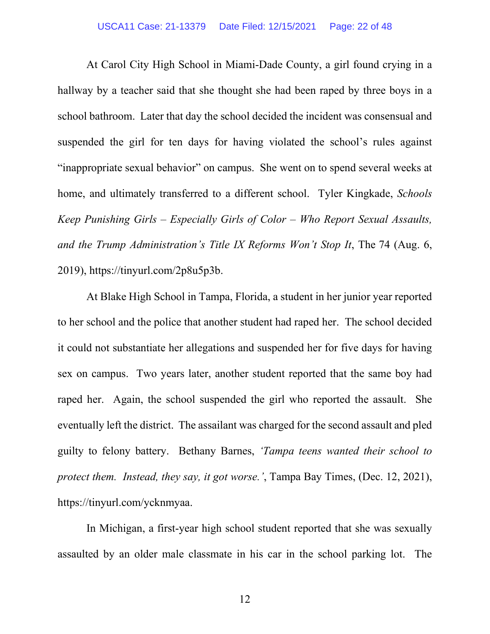#### USCA11 Case: 21-13379 Date Filed: 12/15/2021 Page: 22 of 48

At Carol City High School in Miami-Dade County, a girl found crying in a hallway by a teacher said that she thought she had been raped by three boys in a school bathroom. Later that day the school decided the incident was consensual and suspended the girl for ten days for having violated the school's rules against "inappropriate sexual behavior" on campus. She went on to spend several weeks at home, and ultimately transferred to a different school. Tyler Kingkade, *Schools Keep Punishing Girls – Especially Girls of Color – Who Report Sexual Assaults, and the Trump Administration's Title IX Reforms Won't Stop It*, The 74 (Aug. 6, 2019), https://tinyurl.com/2p8u5p3b.

At Blake High School in Tampa, Florida, a student in her junior year reported to her school and the police that another student had raped her. The school decided it could not substantiate her allegations and suspended her for five days for having sex on campus. Two years later, another student reported that the same boy had raped her. Again, the school suspended the girl who reported the assault. She eventually left the district. The assailant was charged for the second assault and pled guilty to felony battery. Bethany Barnes, *'Tampa teens wanted their school to protect them. Instead, they say, it got worse.'*, Tampa Bay Times, (Dec. 12, 2021), https://tinyurl.com/ycknmyaa.

In Michigan, a first-year high school student reported that she was sexually assaulted by an older male classmate in his car in the school parking lot. The

12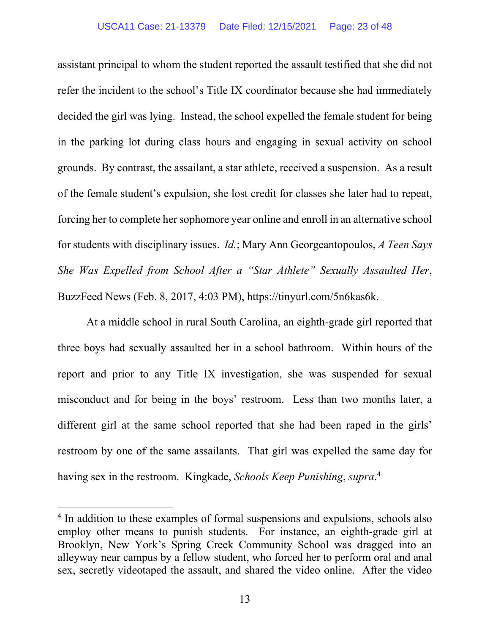assistant principal to whom the student reported the assault testified that she did not refer the incident to the school's Title IX coordinator because she had immediately decided the girl was lying. Instead, the school expelled the female student for being in the parking lot during class hours and engaging in sexual activity on school grounds. By contrast, the assailant, a star athlete, received a suspension. As a result of the female student's expulsion, she lost credit for classes she later had to repeat, forcing her to complete her sophomore year online and enroll in an alternative school for students with disciplinary issues. *Id.*; Mary Ann Georgeantopoulos, *A Teen Says She Was Expelled from School After a "Star Athlete" Sexually Assaulted Her*, BuzzFeed News (Feb. 8, 2017, 4:03 PM), https://tinyurl.com/5n6kas6k.

At a middle school in rural South Carolina, an eighth-grade girl reported that three boys had sexually assaulted her in a school bathroom. Within hours of the report and prior to any Title IX investigation, she was suspended for sexual misconduct and for being in the boys' restroom. Less than two months later, a different girl at the same school reported that she had been raped in the girls' restroom by one of the same assailants. That girl was expelled the same day for having sex in the restroom. Kingkade, *Schools Keep Punishing*, *supra*. 4

<sup>&</sup>lt;sup>4</sup> In addition to these examples of formal suspensions and expulsions, schools also employ other means to punish students. For instance, an eighth-grade girl at Brooklyn, New York's Spring Creek Community School was dragged into an alleyway near campus by a fellow student, who forced her to perform oral and anal sex, secretly videotaped the assault, and shared the video online. After the video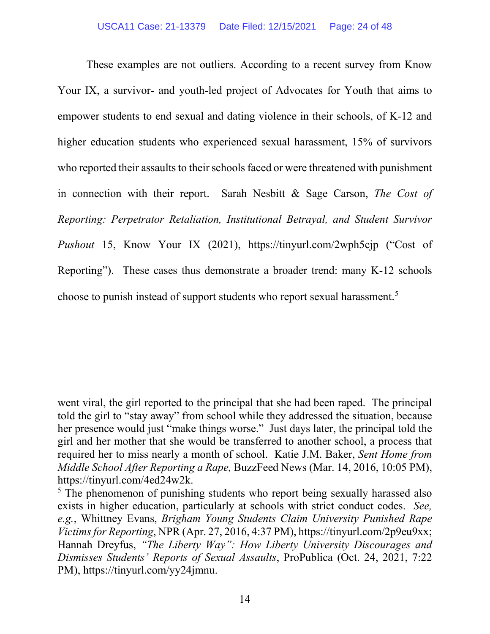These examples are not outliers. According to a recent survey from Know Your IX, a survivor- and youth-led project of Advocates for Youth that aims to empower students to end sexual and dating violence in their schools, of K-12 and higher education students who experienced sexual harassment, 15% of survivors who reported their assaults to their schools faced or were threatened with punishment in connection with their report. Sarah Nesbitt & Sage Carson, *The Cost of Reporting: Perpetrator Retaliation, Institutional Betrayal, and Student Survivor Pushout* 15, Know Your IX (2021), https://tinyurl.com/2wph5cjp ("Cost of Reporting"). These cases thus demonstrate a broader trend: many K-12 schools choose to punish instead of support students who report sexual harassment.<sup>5</sup>

went viral, the girl reported to the principal that she had been raped. The principal told the girl to "stay away" from school while they addressed the situation, because her presence would just "make things worse." Just days later, the principal told the girl and her mother that she would be transferred to another school, a process that required her to miss nearly a month of school. Katie J.M. Baker, *Sent Home from Middle School After Reporting a Rape,* BuzzFeed News (Mar. 14, 2016, 10:05 PM), https://tinyurl.com/4ed24w2k.

<sup>&</sup>lt;sup>5</sup> The phenomenon of punishing students who report being sexually harassed also exists in higher education, particularly at schools with strict conduct codes. *See, e.g.*, Whittney Evans, *Brigham Young Students Claim University Punished Rape Victims for Reporting*, NPR (Apr. 27, 2016, 4:37 PM), https://tinyurl.com/2p9eu9xx; Hannah Dreyfus, *"The Liberty Way": How Liberty University Discourages and Dismisses Students' Reports of Sexual Assaults*, ProPublica (Oct. 24, 2021, 7:22 PM), https://tinyurl.com/yy24jmnu.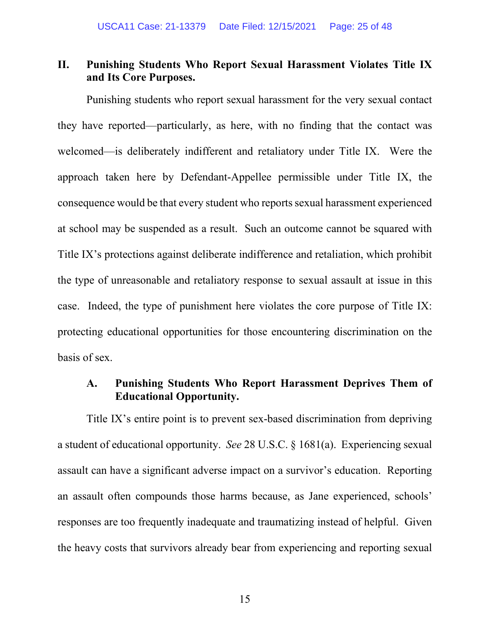### **II. Punishing Students Who Report Sexual Harassment Violates Title IX and Its Core Purposes.**

Punishing students who report sexual harassment for the very sexual contact they have reported—particularly, as here, with no finding that the contact was welcomed—is deliberately indifferent and retaliatory under Title IX. Were the approach taken here by Defendant-Appellee permissible under Title IX, the consequence would be that every student who reports sexual harassment experienced at school may be suspended as a result. Such an outcome cannot be squared with Title IX's protections against deliberate indifference and retaliation, which prohibit the type of unreasonable and retaliatory response to sexual assault at issue in this case. Indeed, the type of punishment here violates the core purpose of Title IX: protecting educational opportunities for those encountering discrimination on the basis of sex.

### **A. Punishing Students Who Report Harassment Deprives Them of Educational Opportunity.**

Title IX's entire point is to prevent sex-based discrimination from depriving a student of educational opportunity. *See* 28 U.S.C. § 1681(a). Experiencing sexual assault can have a significant adverse impact on a survivor's education. Reporting an assault often compounds those harms because, as Jane experienced, schools' responses are too frequently inadequate and traumatizing instead of helpful. Given the heavy costs that survivors already bear from experiencing and reporting sexual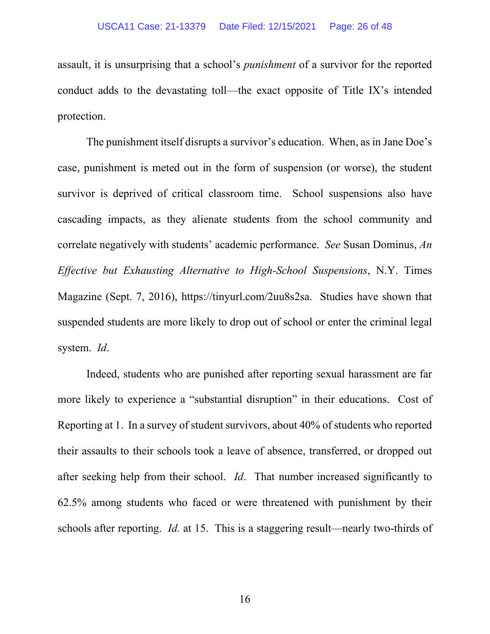assault, it is unsurprising that a school's *punishment* of a survivor for the reported conduct adds to the devastating toll—the exact opposite of Title IX's intended protection.

The punishment itself disrupts a survivor's education. When, as in Jane Doe's case, punishment is meted out in the form of suspension (or worse), the student survivor is deprived of critical classroom time. School suspensions also have cascading impacts, as they alienate students from the school community and correlate negatively with students' academic performance. *See* Susan Dominus, *An Effective but Exhausting Alternative to High-School Suspensions*, N.Y. Times Magazine (Sept. 7, 2016), https://tinyurl.com/2uu8s2sa. Studies have shown that suspended students are more likely to drop out of school or enter the criminal legal system. *Id*.

Indeed, students who are punished after reporting sexual harassment are far more likely to experience a "substantial disruption" in their educations. Cost of Reporting at 1. In a survey of student survivors, about 40% of students who reported their assaults to their schools took a leave of absence, transferred, or dropped out after seeking help from their school. *Id*. That number increased significantly to 62.5% among students who faced or were threatened with punishment by their schools after reporting. *Id.* at 15. This is a staggering result—nearly two-thirds of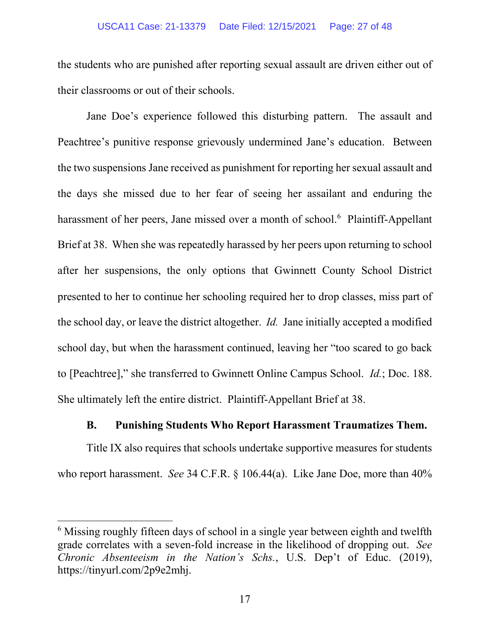the students who are punished after reporting sexual assault are driven either out of their classrooms or out of their schools.

Jane Doe's experience followed this disturbing pattern. The assault and Peachtree's punitive response grievously undermined Jane's education. Between the two suspensions Jane received as punishment for reporting her sexual assault and the days she missed due to her fear of seeing her assailant and enduring the harassment of her peers, Jane missed over a month of school.<sup>6</sup> Plaintiff-Appellant Brief at 38. When she was repeatedly harassed by her peers upon returning to school after her suspensions, the only options that Gwinnett County School District presented to her to continue her schooling required her to drop classes, miss part of the school day, or leave the district altogether. *Id.* Jane initially accepted a modified school day, but when the harassment continued, leaving her "too scared to go back to [Peachtree]," she transferred to Gwinnett Online Campus School. *Id.*; Doc. 188. She ultimately left the entire district. Plaintiff-Appellant Brief at 38.

### **B. Punishing Students Who Report Harassment Traumatizes Them.**

Title IX also requires that schools undertake supportive measures for students who report harassment. *See* 34 C.F.R. § 106.44(a). Like Jane Doe, more than 40%

<sup>&</sup>lt;sup>6</sup> Missing roughly fifteen days of school in a single year between eighth and twelfth grade correlates with a seven-fold increase in the likelihood of dropping out. *See Chronic Absenteeism in the Nation's Schs.*, U.S. Dep't of Educ. (2019), https://tinyurl.com/2p9e2mhj.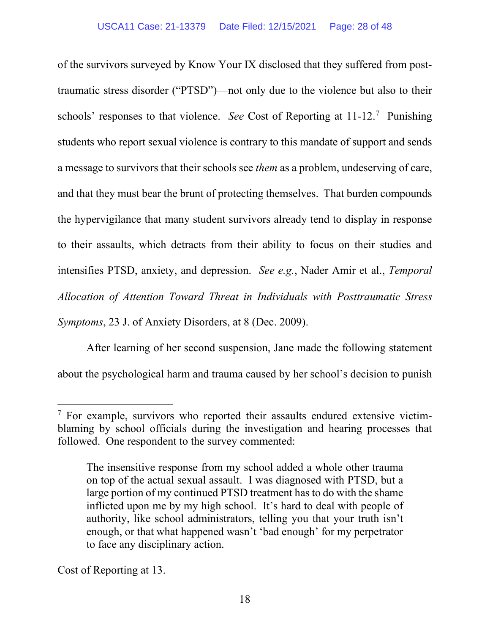of the survivors surveyed by Know Your IX disclosed that they suffered from posttraumatic stress disorder ("PTSD")—not only due to the violence but also to their schools' responses to that violence. *See* Cost of Reporting at 11-12.7 Punishing students who report sexual violence is contrary to this mandate of support and sends a message to survivors that their schools see *them* as a problem, undeserving of care, and that they must bear the brunt of protecting themselves. That burden compounds the hypervigilance that many student survivors already tend to display in response to their assaults, which detracts from their ability to focus on their studies and intensifies PTSD, anxiety, and depression. *See e.g.*, Nader Amir et al., *Temporal Allocation of Attention Toward Threat in Individuals with Posttraumatic Stress Symptoms*, 23 J. of Anxiety Disorders, at 8 (Dec. 2009).

After learning of her second suspension, Jane made the following statement about the psychological harm and trauma caused by her school's decision to punish

Cost of Reporting at 13.

<sup>&</sup>lt;sup>7</sup> For example, survivors who reported their assaults endured extensive victimblaming by school officials during the investigation and hearing processes that followed. One respondent to the survey commented:

The insensitive response from my school added a whole other trauma on top of the actual sexual assault. I was diagnosed with PTSD, but a large portion of my continued PTSD treatment has to do with the shame inflicted upon me by my high school. It's hard to deal with people of authority, like school administrators, telling you that your truth isn't enough, or that what happened wasn't 'bad enough' for my perpetrator to face any disciplinary action.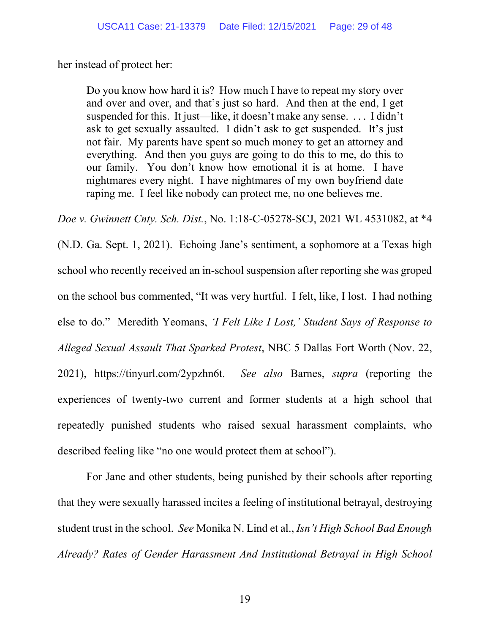her instead of protect her:

Do you know how hard it is? How much I have to repeat my story over and over and over, and that's just so hard. And then at the end, I get suspended for this. It just—like, it doesn't make any sense. . . . I didn't ask to get sexually assaulted. I didn't ask to get suspended. It's just not fair. My parents have spent so much money to get an attorney and everything. And then you guys are going to do this to me, do this to our family. You don't know how emotional it is at home. I have nightmares every night. I have nightmares of my own boyfriend date raping me. I feel like nobody can protect me, no one believes me.

*Doe v. Gwinnett Cnty. Sch. Dist.*, No. 1:18-C-05278-SCJ, 2021 WL 4531082, at \*4

(N.D. Ga. Sept. 1, 2021). Echoing Jane's sentiment, a sophomore at a Texas high school who recently received an in-school suspension after reporting she was groped on the school bus commented, "It was very hurtful. I felt, like, I lost. I had nothing else to do." Meredith Yeomans, *'I Felt Like I Lost,' Student Says of Response to Alleged Sexual Assault That Sparked Protest*, NBC 5 Dallas Fort Worth (Nov. 22, 2021), https://tinyurl.com/2ypzhn6t. *See also* Barnes, *supra* (reporting the experiences of twenty-two current and former students at a high school that repeatedly punished students who raised sexual harassment complaints, who described feeling like "no one would protect them at school").

For Jane and other students, being punished by their schools after reporting that they were sexually harassed incites a feeling of institutional betrayal, destroying student trust in the school. *See* Monika N. Lind et al., *Isn't High School Bad Enough Already? Rates of Gender Harassment And Institutional Betrayal in High School*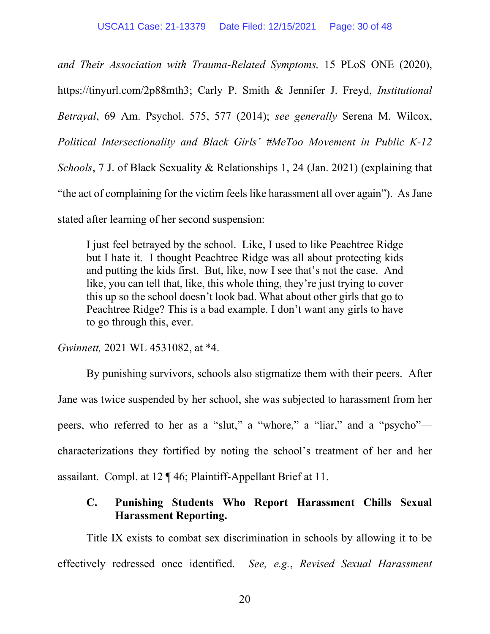*and Their Association with Trauma-Related Symptoms,* 15 PLoS ONE (2020), https://tinyurl.com/2p88mth3; Carly P. Smith & Jennifer J. Freyd, *Institutional Betrayal*, 69 Am. Psychol. 575, 577 (2014); *see generally* Serena M. Wilcox, *Political Intersectionality and Black Girls' #MeToo Movement in Public K-12 Schools*, 7 J. of Black Sexuality & Relationships 1, 24 (Jan. 2021) (explaining that "the act of complaining for the victim feels like harassment all over again"). As Jane stated after learning of her second suspension:

I just feel betrayed by the school. Like, I used to like Peachtree Ridge but I hate it. I thought Peachtree Ridge was all about protecting kids and putting the kids first. But, like, now I see that's not the case. And like, you can tell that, like, this whole thing, they're just trying to cover this up so the school doesn't look bad. What about other girls that go to Peachtree Ridge? This is a bad example. I don't want any girls to have to go through this, ever.

*Gwinnett,* 2021 WL 4531082, at \*4.

By punishing survivors, schools also stigmatize them with their peers. After Jane was twice suspended by her school, she was subjected to harassment from her peers, who referred to her as a "slut," a "whore," a "liar," and a "psycho" characterizations they fortified by noting the school's treatment of her and her assailant. Compl. at 12 ¶ 46; Plaintiff-Appellant Brief at 11.

## **C. Punishing Students Who Report Harassment Chills Sexual Harassment Reporting.**

Title IX exists to combat sex discrimination in schools by allowing it to be effectively redressed once identified. *See, e.g.*, *Revised Sexual Harassment*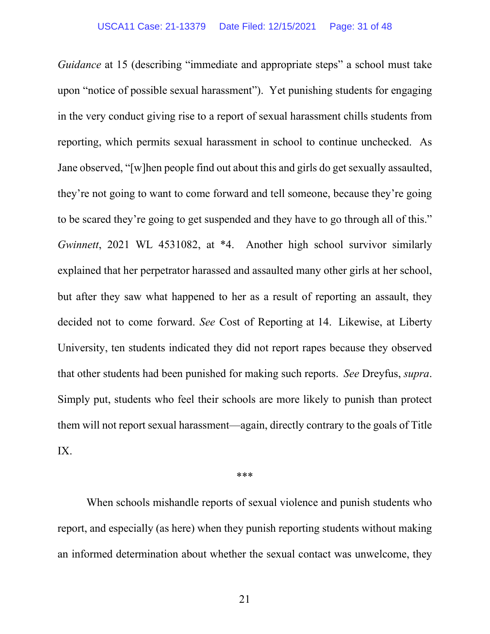*Guidance* at 15 (describing "immediate and appropriate steps" a school must take upon "notice of possible sexual harassment"). Yet punishing students for engaging in the very conduct giving rise to a report of sexual harassment chills students from reporting, which permits sexual harassment in school to continue unchecked. As Jane observed, "[w]hen people find out about this and girls do get sexually assaulted, they're not going to want to come forward and tell someone, because they're going to be scared they're going to get suspended and they have to go through all of this." *Gwinnett*, 2021 WL 4531082, at \*4. Another high school survivor similarly explained that her perpetrator harassed and assaulted many other girls at her school, but after they saw what happened to her as a result of reporting an assault, they decided not to come forward. *See* Cost of Reporting at 14. Likewise, at Liberty University, ten students indicated they did not report rapes because they observed that other students had been punished for making such reports. *See* Dreyfus, *supra*. Simply put, students who feel their schools are more likely to punish than protect them will not report sexual harassment—again, directly contrary to the goals of Title IX.

\*\*\*

When schools mishandle reports of sexual violence and punish students who report, and especially (as here) when they punish reporting students without making an informed determination about whether the sexual contact was unwelcome, they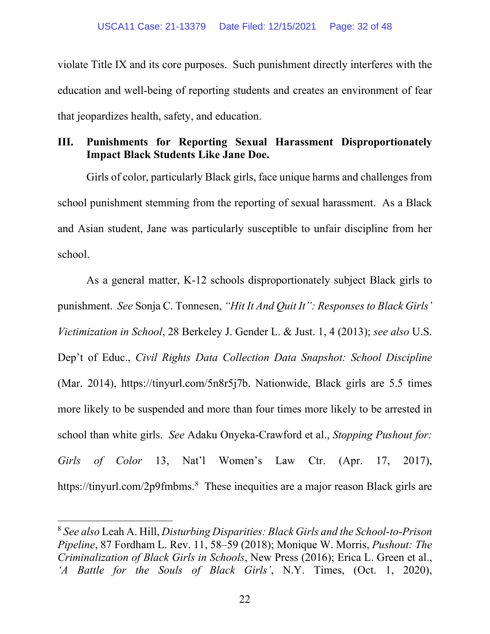violate Title IX and its core purposes. Such punishment directly interferes with the education and well-being of reporting students and creates an environment of fear that jeopardizes health, safety, and education.

### **III. Punishments for Reporting Sexual Harassment Disproportionately Impact Black Students Like Jane Doe.**

Girls of color, particularly Black girls, face unique harms and challenges from school punishment stemming from the reporting of sexual harassment. As a Black and Asian student, Jane was particularly susceptible to unfair discipline from her school.

As a general matter, K-12 schools disproportionately subject Black girls to punishment. *See* Sonja C. Tonnesen, *"Hit It And Quit It": Responses to Black Girls' Victimization in School*, 28 Berkeley J. Gender L. & Just. 1, 4 (2013); *see also* U.S. Dep't of Educ., *Civil Rights Data Collection Data Snapshot: School Discipline* (Mar. 2014), https://tinyurl.com/5n8r5j7b. Nationwide, Black girls are 5.5 times more likely to be suspended and more than four times more likely to be arrested in school than white girls. *See* Adaku Onyeka-Crawford et al., *Stopping Pushout for: Girls of Color* 13, Nat'l Women's Law Ctr. (Apr. 17, 2017), https://tinyurl.com/2p9fmbms.<sup>8</sup> These inequities are a major reason Black girls are

<sup>8</sup> *See also* Leah A. Hill, *Disturbing Disparities: Black Girls and the School-to-Prison Pipeline*, 87 Fordham L. Rev. 11, 58–59 (2018); Monique W. Morris, *Pushout: The Criminalization of Black Girls in Schools*, New Press (2016); Erica L. Green et al., *'A Battle for the Souls of Black Girls'*, N.Y. Times, (Oct. 1, 2020),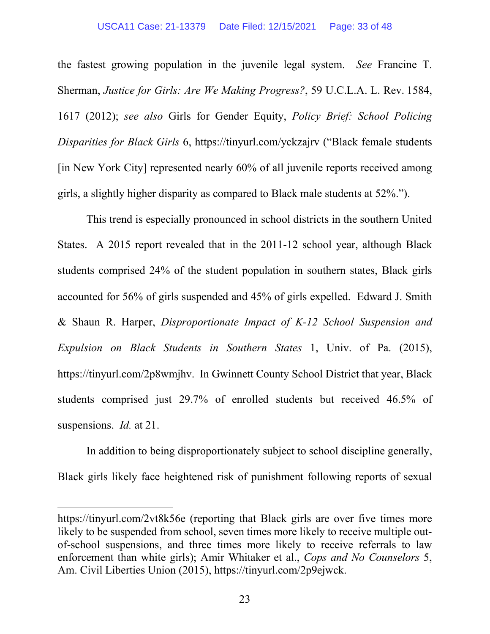#### USCA11 Case: 21-13379 Date Filed: 12/15/2021 Page: 33 of 48

the fastest growing population in the juvenile legal system. *See* Francine T. Sherman, *Justice for Girls: Are We Making Progress?*, 59 U.C.L.A. L. Rev. 1584, 1617 (2012); *see also* Girls for Gender Equity, *Policy Brief: School Policing Disparities for Black Girls* 6, https://tinyurl.com/yckzajrv ("Black female students [in New York City] represented nearly 60% of all juvenile reports received among girls, a slightly higher disparity as compared to Black male students at 52%.").

This trend is especially pronounced in school districts in the southern United States. A 2015 report revealed that in the 2011-12 school year, although Black students comprised 24% of the student population in southern states, Black girls accounted for 56% of girls suspended and 45% of girls expelled. Edward J. Smith & Shaun R. Harper, *Disproportionate Impact of K-12 School Suspension and Expulsion on Black Students in Southern States* 1, Univ. of Pa. (2015), https://tinyurl.com/2p8wmjhv. In Gwinnett County School District that year, Black students comprised just 29.7% of enrolled students but received 46.5% of suspensions. *Id.* at 21.

In addition to being disproportionately subject to school discipline generally, Black girls likely face heightened risk of punishment following reports of sexual

https://tinyurl.com/2vt8k56e (reporting that Black girls are over five times more likely to be suspended from school, seven times more likely to receive multiple outof-school suspensions, and three times more likely to receive referrals to law enforcement than white girls); Amir Whitaker et al., *Cops and No Counselors* 5, Am. Civil Liberties Union (2015), https://tinyurl.com/2p9ejwck.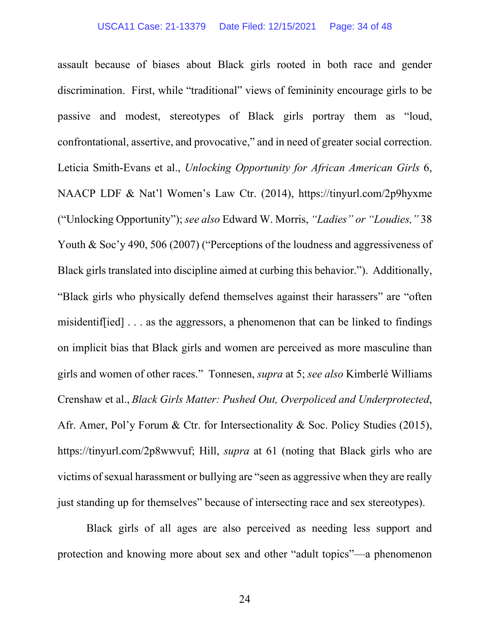assault because of biases about Black girls rooted in both race and gender discrimination. First, while "traditional" views of femininity encourage girls to be passive and modest, stereotypes of Black girls portray them as "loud, confrontational, assertive, and provocative," and in need of greater social correction. Leticia Smith-Evans et al., *Unlocking Opportunity for African American Girls* 6, NAACP LDF & Nat'l Women's Law Ctr. (2014), https://tinyurl.com/2p9hyxme ("Unlocking Opportunity"); *see also* Edward W. Morris, *"Ladies" or "Loudies,"* 38 Youth & Soc'y 490, 506 (2007) ("Perceptions of the loudness and aggressiveness of Black girls translated into discipline aimed at curbing this behavior."). Additionally, "Black girls who physically defend themselves against their harassers" are "often misidentif[ied] . . . as the aggressors, a phenomenon that can be linked to findings on implicit bias that Black girls and women are perceived as more masculine than girls and women of other races." Tonnesen, *supra* at 5; *see also* Kimberlé Williams Crenshaw et al., *Black Girls Matter: Pushed Out, Overpoliced and Underprotected*, Afr. Amer, Pol'y Forum & Ctr. for Intersectionality & Soc. Policy Studies (2015), https://tinyurl.com/2p8wwvuf; Hill, *supra* at 61 (noting that Black girls who are victims of sexual harassment or bullying are "seen as aggressive when they are really just standing up for themselves" because of intersecting race and sex stereotypes).

Black girls of all ages are also perceived as needing less support and protection and knowing more about sex and other "adult topics"—a phenomenon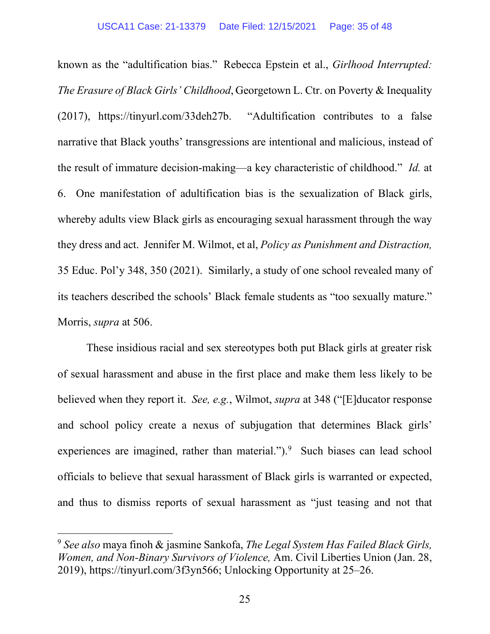known as the "adultification bias." Rebecca Epstein et al., *Girlhood Interrupted: The Erasure of Black Girls' Childhood*, Georgetown L. Ctr. on Poverty & Inequality (2017), https://tinyurl.com/33deh27b. "Adultification contributes to a false narrative that Black youths' transgressions are intentional and malicious, instead of the result of immature decision-making—a key characteristic of childhood." *Id.* at 6. One manifestation of adultification bias is the sexualization of Black girls, whereby adults view Black girls as encouraging sexual harassment through the way they dress and act. Jennifer M. Wilmot, et al, *Policy as Punishment and Distraction,*  35 Educ. Pol'y 348, 350 (2021). Similarly, a study of one school revealed many of its teachers described the schools' Black female students as "too sexually mature." Morris, *supra* at 506.

These insidious racial and sex stereotypes both put Black girls at greater risk of sexual harassment and abuse in the first place and make them less likely to be believed when they report it. *See, e.g.*, Wilmot, *supra* at 348 ("[E]ducator response and school policy create a nexus of subjugation that determines Black girls' experiences are imagined, rather than material.").<sup>9</sup> Such biases can lead school officials to believe that sexual harassment of Black girls is warranted or expected, and thus to dismiss reports of sexual harassment as "just teasing and not that

<sup>9</sup> *See also* maya finoh & jasmine Sankofa, *The Legal System Has Failed Black Girls, Women, and Non-Binary Survivors of Violence,* Am. Civil Liberties Union (Jan. 28, 2019), https://tinyurl.com/3f3yn566; Unlocking Opportunity at 25–26.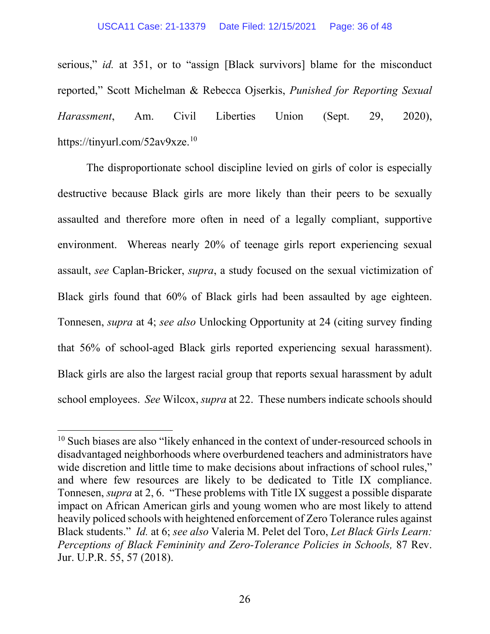serious," *id.* at 351, or to "assign [Black survivors] blame for the misconduct reported," Scott Michelman & Rebecca Ojserkis, *Punished for Reporting Sexual Harassment*, Am. Civil Liberties Union (Sept. 29, 2020), https://tinyurl.com/52av9xze.<sup>10</sup>

The disproportionate school discipline levied on girls of color is especially destructive because Black girls are more likely than their peers to be sexually assaulted and therefore more often in need of a legally compliant, supportive environment. Whereas nearly 20% of teenage girls report experiencing sexual assault, *see* Caplan-Bricker, *supra*, a study focused on the sexual victimization of Black girls found that 60% of Black girls had been assaulted by age eighteen. Tonnesen, *supra* at 4; *see also* Unlocking Opportunity at 24 (citing survey finding that 56% of school-aged Black girls reported experiencing sexual harassment). Black girls are also the largest racial group that reports sexual harassment by adult school employees. *See* Wilcox, *supra* at 22. These numbers indicate schools should

 $10$  Such biases are also "likely enhanced in the context of under-resourced schools in disadvantaged neighborhoods where overburdened teachers and administrators have wide discretion and little time to make decisions about infractions of school rules," and where few resources are likely to be dedicated to Title IX compliance. Tonnesen, *supra* at 2, 6. "These problems with Title IX suggest a possible disparate impact on African American girls and young women who are most likely to attend heavily policed schools with heightened enforcement of Zero Tolerance rules against Black students." *Id.* at 6; *see also* Valeria M. Pelet del Toro, *Let Black Girls Learn: Perceptions of Black Femininity and Zero-Tolerance Policies in Schools,* 87 Rev. Jur. U.P.R. 55, 57 (2018).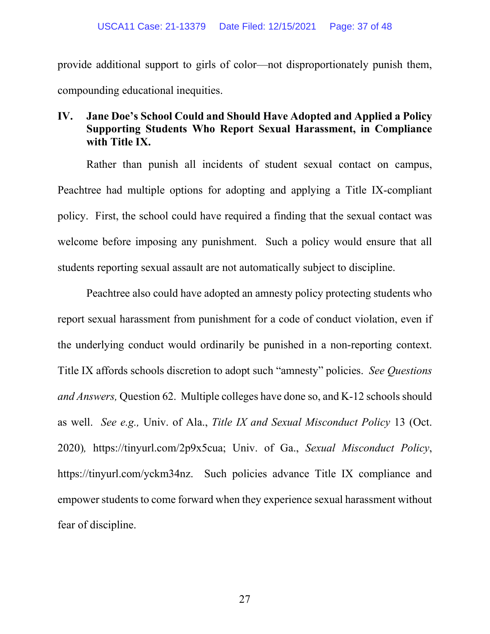provide additional support to girls of color—not disproportionately punish them, compounding educational inequities.

## **IV. Jane Doe's School Could and Should Have Adopted and Applied a Policy Supporting Students Who Report Sexual Harassment, in Compliance with Title IX.**

Rather than punish all incidents of student sexual contact on campus, Peachtree had multiple options for adopting and applying a Title IX-compliant policy. First, the school could have required a finding that the sexual contact was welcome before imposing any punishment. Such a policy would ensure that all students reporting sexual assault are not automatically subject to discipline.

Peachtree also could have adopted an amnesty policy protecting students who report sexual harassment from punishment for a code of conduct violation, even if the underlying conduct would ordinarily be punished in a non-reporting context. Title IX affords schools discretion to adopt such "amnesty" policies. *See Questions and Answers,* Question 62. Multiple colleges have done so, and K-12 schools should as well. *See e.g.,* Univ. of Ala., *Title IX and Sexual Misconduct Policy* 13 (Oct. 2020)*,* https://tinyurl.com/2p9x5cua; Univ. of Ga., *Sexual Misconduct Policy*, https://tinyurl.com/yckm34nz. Such policies advance Title IX compliance and empower students to come forward when they experience sexual harassment without fear of discipline.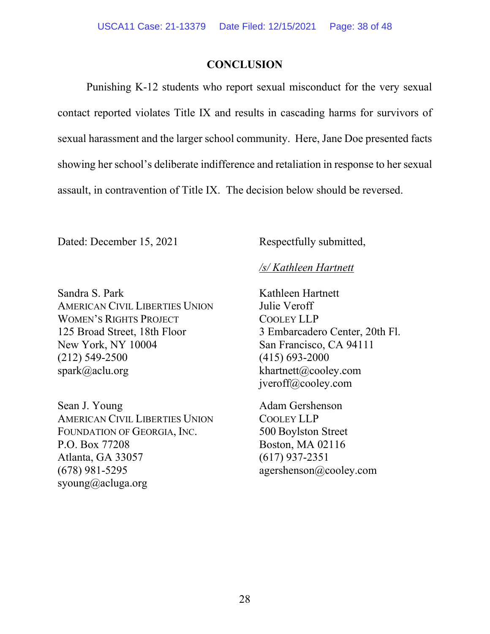### **CONCLUSION**

Punishing K-12 students who report sexual misconduct for the very sexual contact reported violates Title IX and results in cascading harms for survivors of sexual harassment and the larger school community. Here, Jane Doe presented facts showing her school's deliberate indifference and retaliation in response to her sexual assault, in contravention of Title IX. The decision below should be reversed.

Dated: December 15, 2021 Respectfully submitted,

## */s/ Kathleen Hartnett*

Sandra S. Park Kathleen Hartnett AMERICAN CIVIL LIBERTIES UNION Julie Veroff WOMEN'S RIGHTS PROJECT COOLEY LLP 125 Broad Street, 18th Floor 3 Embarcadero Center, 20th Fl. New York, NY 10004 San Francisco, CA 94111 (212) 549-2500 (415) 693-2000 spark@aclu.org khartnett@cooley.com

Sean J. Young Adam Gershenson AMERICAN CIVIL LIBERTIES UNION COOLEY LLP FOUNDATION OF GEORGIA, INC. 500 Boylston Street P.O. Box 77208 Boston, MA 02116 Atlanta, GA 33057 (617) 937-2351 (678) 981-5295 agershenson@cooley.com syoung@acluga.org

jveroff@cooley.com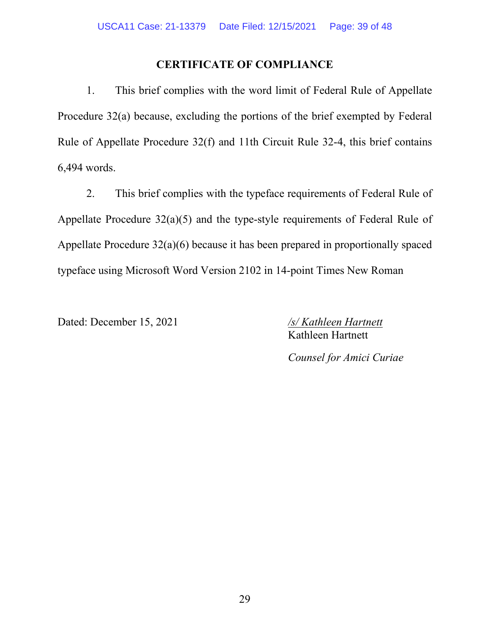## **CERTIFICATE OF COMPLIANCE**

1. This brief complies with the word limit of Federal Rule of Appellate Procedure 32(a) because, excluding the portions of the brief exempted by Federal Rule of Appellate Procedure 32(f) and 11th Circuit Rule 32-4, this brief contains 6,494 words.

2. This brief complies with the typeface requirements of Federal Rule of Appellate Procedure 32(a)(5) and the type-style requirements of Federal Rule of Appellate Procedure 32(a)(6) because it has been prepared in proportionally spaced typeface using Microsoft Word Version 2102 in 14-point Times New Roman

Dated: December 15, 2021 */s/ Kathleen Hartnett* 

Kathleen Hartnett

*Counsel for Amici Curiae*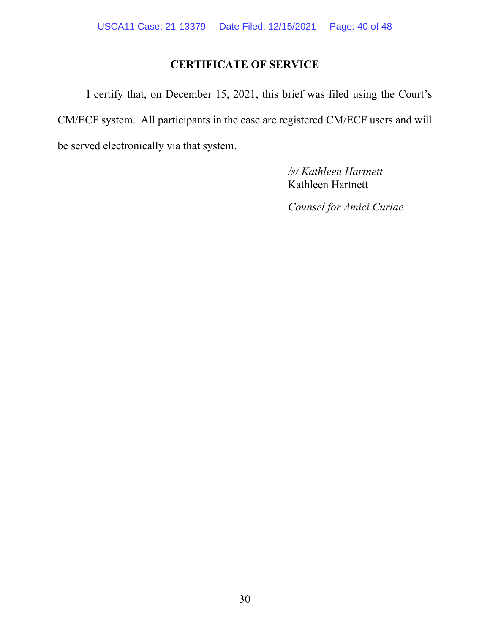## **CERTIFICATE OF SERVICE**

I certify that, on December 15, 2021, this brief was filed using the Court's CM/ECF system. All participants in the case are registered CM/ECF users and will be served electronically via that system.

> */s/ Kathleen Hartnett* Kathleen Hartnett

*Counsel for Amici Curiae*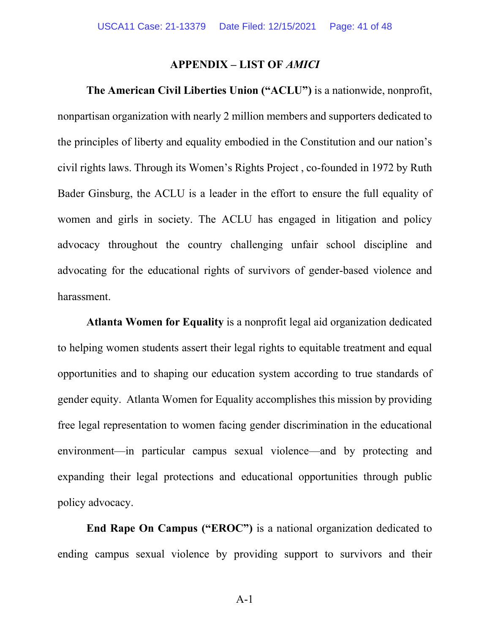#### **APPENDIX – LIST OF** *AMICI*

**The American Civil Liberties Union ("ACLU")** is a nationwide, nonprofit, nonpartisan organization with nearly 2 million members and supporters dedicated to the principles of liberty and equality embodied in the Constitution and our nation's civil rights laws. Through its Women's Rights Project , co-founded in 1972 by Ruth Bader Ginsburg, the ACLU is a leader in the effort to ensure the full equality of women and girls in society. The ACLU has engaged in litigation and policy advocacy throughout the country challenging unfair school discipline and advocating for the educational rights of survivors of gender-based violence and harassment.

**Atlanta Women for Equality** is a nonprofit legal aid organization dedicated to helping women students assert their legal rights to equitable treatment and equal opportunities and to shaping our education system according to true standards of gender equity. Atlanta Women for Equality accomplishes this mission by providing free legal representation to women facing gender discrimination in the educational environment—in particular campus sexual violence—and by protecting and expanding their legal protections and educational opportunities through public policy advocacy.

**End Rape On Campus ("EROC")** is a national organization dedicated to ending campus sexual violence by providing support to survivors and their

A-1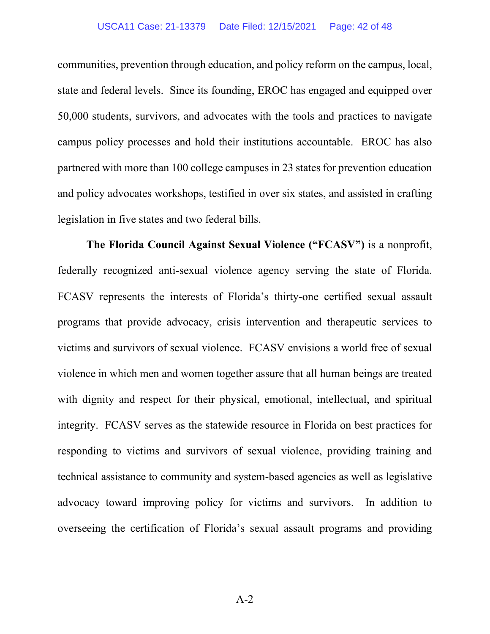#### USCA11 Case: 21-13379 Date Filed: 12/15/2021 Page: 42 of 48

communities, prevention through education, and policy reform on the campus, local, state and federal levels. Since its founding, EROC has engaged and equipped over 50,000 students, survivors, and advocates with the tools and practices to navigate campus policy processes and hold their institutions accountable. EROC has also partnered with more than 100 college campuses in 23 states for prevention education and policy advocates workshops, testified in over six states, and assisted in crafting legislation in five states and two federal bills.

**The Florida Council Against Sexual Violence ("FCASV")** is a nonprofit, federally recognized anti-sexual violence agency serving the state of Florida. FCASV represents the interests of Florida's thirty-one certified sexual assault programs that provide advocacy, crisis intervention and therapeutic services to victims and survivors of sexual violence. FCASV envisions a world free of sexual violence in which men and women together assure that all human beings are treated with dignity and respect for their physical, emotional, intellectual, and spiritual integrity. FCASV serves as the statewide resource in Florida on best practices for responding to victims and survivors of sexual violence, providing training and technical assistance to community and system-based agencies as well as legislative advocacy toward improving policy for victims and survivors. In addition to overseeing the certification of Florida's sexual assault programs and providing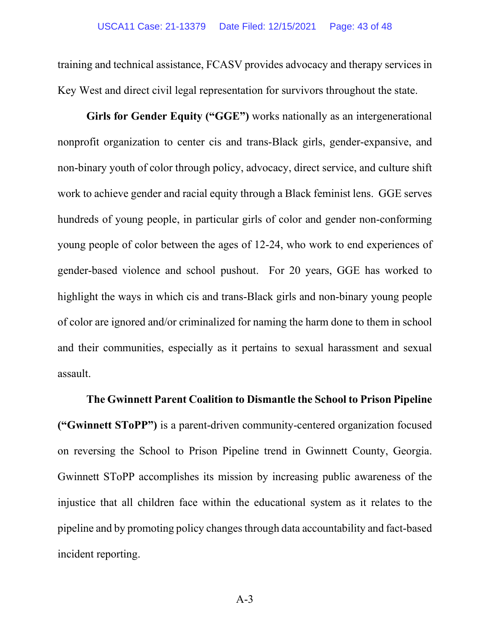training and technical assistance, FCASV provides advocacy and therapy services in Key West and direct civil legal representation for survivors throughout the state.

Girls for Gender Equity ("GGE") works nationally as an intergenerational nonprofit organization to center cis and trans-Black girls, gender-expansive, and non-binary youth of color through policy, advocacy, direct service, and culture shift work to achieve gender and racial equity through a Black feminist lens. GGE serves hundreds of young people, in particular girls of color and gender non-conforming young people of color between the ages of 12-24, who work to end experiences of gender-based violence and school pushout. For 20 years, GGE has worked to highlight the ways in which cis and trans-Black girls and non-binary young people of color are ignored and/or criminalized for naming the harm done to them in school and their communities, especially as it pertains to sexual harassment and sexual assault.

**The Gwinnett Parent Coalition to Dismantle the School to Prison Pipeline ("Gwinnett SToPP")** is a parent-driven community-centered organization focused on reversing the School to Prison Pipeline trend in Gwinnett County, Georgia. Gwinnett SToPP accomplishes its mission by increasing public awareness of the injustice that all children face within the educational system as it relates to the pipeline and by promoting policy changes through data accountability and fact-based incident reporting.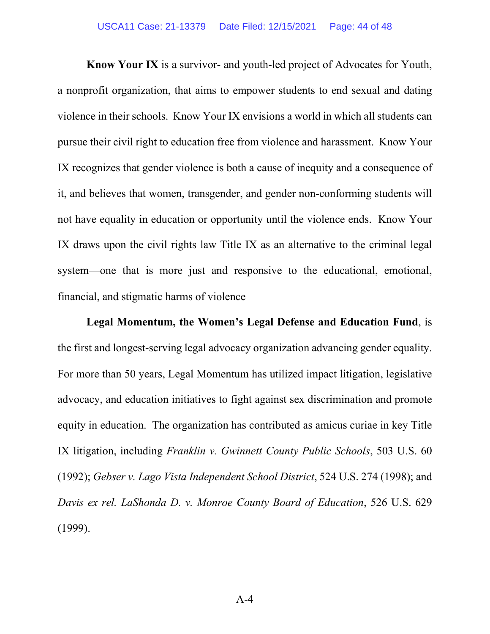**Know Your IX** is a survivor- and youth-led project of Advocates for Youth, a nonprofit organization, that aims to empower students to end sexual and dating violence in their schools. Know Your IX envisions a world in which all students can pursue their civil right to education free from violence and harassment. Know Your IX recognizes that gender violence is both a cause of inequity and a consequence of it, and believes that women, transgender, and gender non-conforming students will not have equality in education or opportunity until the violence ends. Know Your IX draws upon the civil rights law Title IX as an alternative to the criminal legal system—one that is more just and responsive to the educational, emotional, financial, and stigmatic harms of violence

**Legal Momentum, the Women's Legal Defense and Education Fund**, is the first and longest-serving legal advocacy organization advancing gender equality. For more than 50 years, Legal Momentum has utilized impact litigation, legislative advocacy, and education initiatives to fight against sex discrimination and promote equity in education. The organization has contributed as amicus curiae in key Title IX litigation, including *Franklin v. Gwinnett County Public Schools*, 503 U.S. 60 (1992); *Gebser v. Lago Vista Independent School District*, 524 U.S. 274 (1998); and *Davis ex rel. LaShonda D. v. Monroe County Board of Education*, 526 U.S. 629 (1999).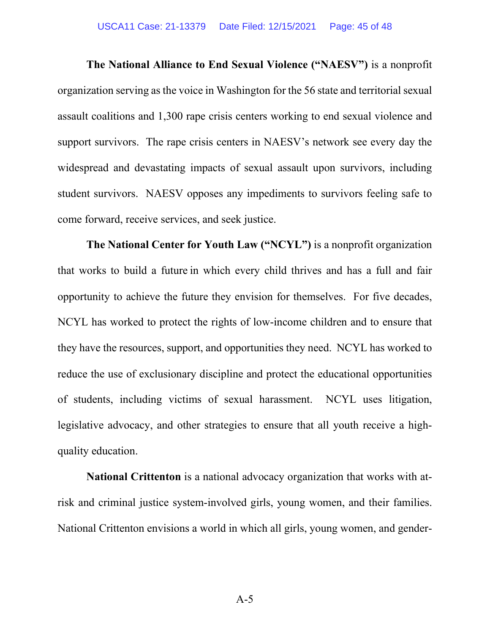**The National Alliance to End Sexual Violence ("NAESV")** is a nonprofit organization serving as the voice in Washington for the 56 state and territorial sexual assault coalitions and 1,300 rape crisis centers working to end sexual violence and support survivors. The rape crisis centers in NAESV's network see every day the widespread and devastating impacts of sexual assault upon survivors, including student survivors. NAESV opposes any impediments to survivors feeling safe to come forward, receive services, and seek justice.

**The National Center for Youth Law ("NCYL")** is a nonprofit organization that works to build a future in which every child thrives and has a full and fair opportunity to achieve the future they envision for themselves. For five decades, NCYL has worked to protect the rights of low-income children and to ensure that they have the resources, support, and opportunities they need. NCYL has worked to reduce the use of exclusionary discipline and protect the educational opportunities of students, including victims of sexual harassment. NCYL uses litigation, legislative advocacy, and other strategies to ensure that all youth receive a highquality education.

**National Crittenton** is a national advocacy organization that works with atrisk and criminal justice system-involved girls, young women, and their families. National Crittenton envisions a world in which all girls, young women, and gender-

 $A-5$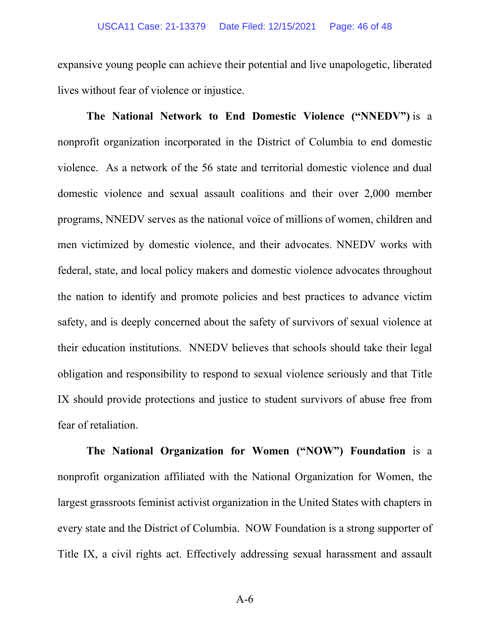expansive young people can achieve their potential and live unapologetic, liberated lives without fear of violence or injustice.

**The National Network to End Domestic Violence ("NNEDV")** is a nonprofit organization incorporated in the District of Columbia to end domestic violence. As a network of the 56 state and territorial domestic violence and dual domestic violence and sexual assault coalitions and their over 2,000 member programs, NNEDV serves as the national voice of millions of women, children and men victimized by domestic violence, and their advocates. NNEDV works with federal, state, and local policy makers and domestic violence advocates throughout the nation to identify and promote policies and best practices to advance victim safety, and is deeply concerned about the safety of survivors of sexual violence at their education institutions. NNEDV believes that schools should take their legal obligation and responsibility to respond to sexual violence seriously and that Title IX should provide protections and justice to student survivors of abuse free from fear of retaliation.

**The National Organization for Women ("NOW") Foundation** is a nonprofit organization affiliated with the National Organization for Women, the largest grassroots feminist activist organization in the United States with chapters in every state and the District of Columbia. NOW Foundation is a strong supporter of Title IX, a civil rights act. Effectively addressing sexual harassment and assault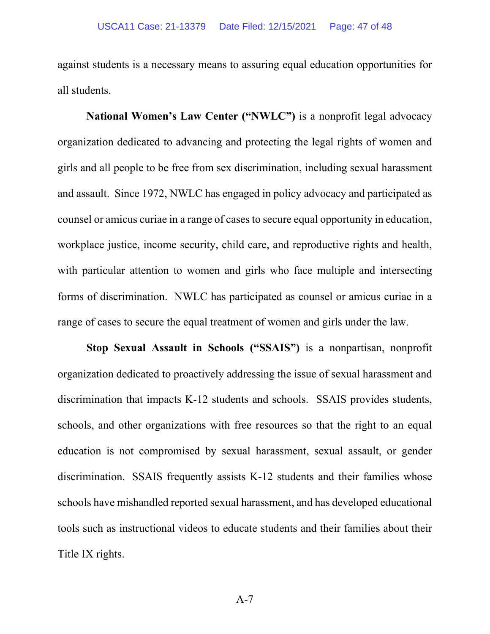against students is a necessary means to assuring equal education opportunities for all students.

**National Women's Law Center ("NWLC")** is a nonprofit legal advocacy organization dedicated to advancing and protecting the legal rights of women and girls and all people to be free from sex discrimination, including sexual harassment and assault. Since 1972, NWLC has engaged in policy advocacy and participated as counsel or amicus curiae in a range of cases to secure equal opportunity in education, workplace justice, income security, child care, and reproductive rights and health, with particular attention to women and girls who face multiple and intersecting forms of discrimination. NWLC has participated as counsel or amicus curiae in a range of cases to secure the equal treatment of women and girls under the law.

**Stop Sexual Assault in Schools ("SSAIS")** is a nonpartisan, nonprofit organization dedicated to proactively addressing the issue of sexual harassment and discrimination that impacts K-12 students and schools. SSAIS provides students, schools, and other organizations with free resources so that the right to an equal education is not compromised by sexual harassment, sexual assault, or gender discrimination. SSAIS frequently assists K-12 students and their families whose schools have mishandled reported sexual harassment, and has developed educational tools such as instructional videos to educate students and their families about their Title IX rights.